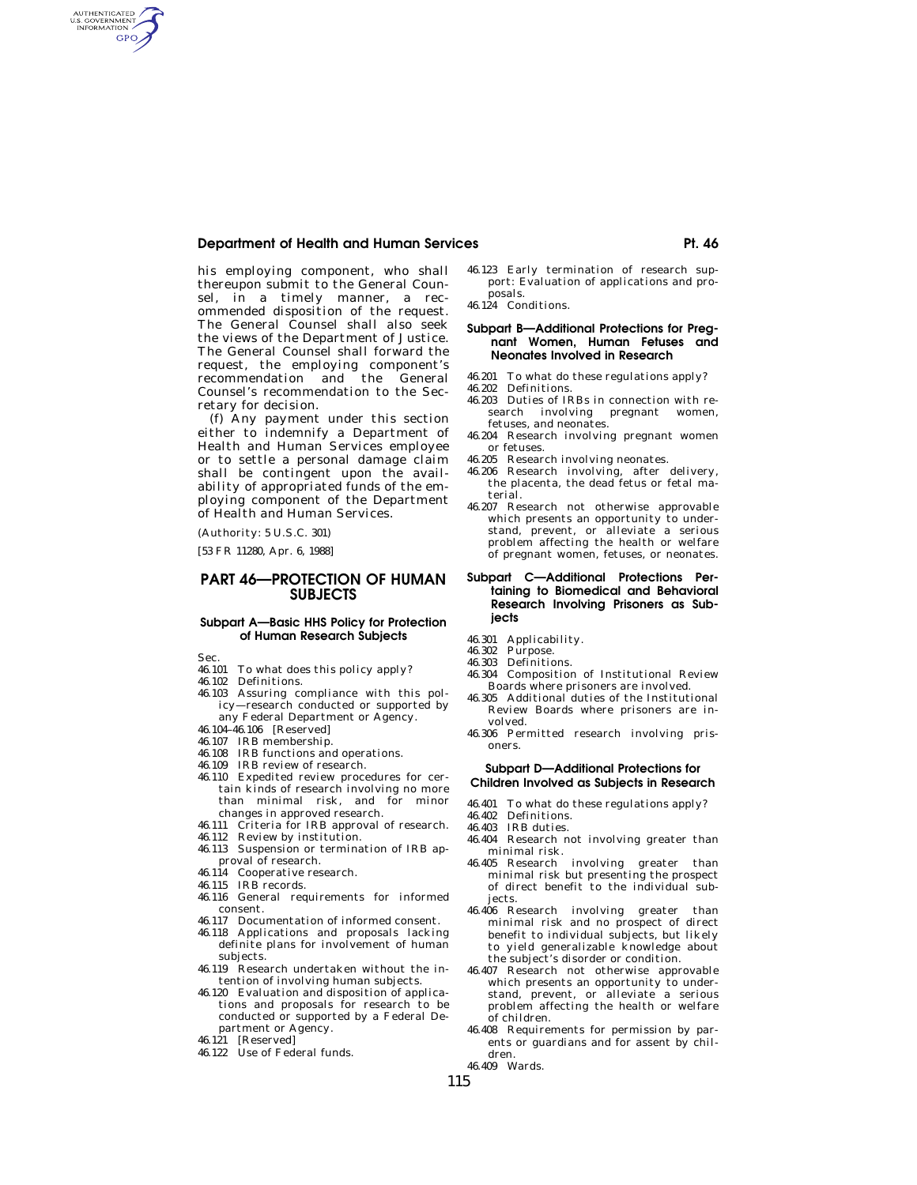his employing component, who shall thereupon submit to the General Counsel, in a timely manner, a recommended disposition of the request. The General Counsel shall also seek the views of the Department of Justice. The General Counsel shall forward the request, the employing component's recommendation and the General Counsel's recommendation to the Secretary for decision.

(f) Any payment under this section either to indemnify a Department of Health and Human Services employee or to settle a personal damage claim shall be contingent upon the availability of appropriated funds of the employing component of the Department of Health and Human Services.

(Authority: 5 U.S.C. 301)

[53 FR 11280, Apr. 6, 1988]

# **PART 46—PROTECTION OF HUMAN SUBJECTS**

## **Subpart A—Basic HHS Policy for Protection of Human Research Subjects**

Sec.

AUTHENTICATED<br>U.S. GOVERNMENT<br>INFORMATION **GPO** 

- 46.101 To what does this policy apply?
- 46.102 Definitions.
- 46.103 Assuring compliance with this policy—research conducted or supported by any Federal Department or Agency.
- 46.104–46.106 [Reserved] 46.107 IRB membership.
- 46.108 IRB functions and operations.
- 46.109 IRB review of research.
- 46.110 Expedited review procedures for certain kinds of research involving no more than minimal risk, and for minor changes in approved research.
- 46.111 Criteria for IRB approval of research.
- 46.112 Review by institution. 46.113 Suspension or termination of IRB ap-
- proval of research.
- 46.114 Cooperative research.
- 46.115 IRB records.
- 46.116 General requirements for informed consent.
- 46.117 Documentation of informed consent.
- 46.118 Applications and proposals lacking definite plans for involvement of human subjects.
- 46.119 Research undertaken without the intention of involving human subjects.
- 46.120 Evaluation and disposition of applications and proposals for research to be conducted or supported by a Federal Department or Agency.
- 46.121 [Reserved]
- 46.122 Use of Federal funds.
- 46.123 Early termination of research support: Evaluation of applications and proposals.
- 46.124 Conditions.

# **Subpart B—Additional Protections for Pregnant Women, Human Fetuses and Neonates Involved in Research**

- 46.201 To what do these regulations apply?
- 46.202 Definitions. 46.203 Duties of IRBs in connection with re-
- search involving pregnant women, fetuses, and neonates.
- 46.204 Research involving pregnant women or fetuses.
- 46.205 Research involving neonates.
- 46.206 Research involving, after delivery, the placenta, the dead fetus or fetal material.
- 46.207 Research not otherwise approvable which presents an opportunity to understand, prevent, or alleviate a serious problem affecting the health or welfare of pregnant women, fetuses, or neonates.

# **Subpart C—Additional Protections Pertaining to Biomedical and Behavioral Research Involving Prisoners as Subjects**

- 46.301 Applicability.
- 46.302 Purpose.
- 46.303 Definitions.
- 46.304 Composition of Institutional Review Boards where prisoners are involved.
- 46.305 Additional duties of the Institutional Review Boards where prisoners are involved.
- 46.306 Permitted research involving prisoners.

#### **Subpart D—Additional Protections for Children Involved as Subjects in Research**

- 46.401 To what do these regulations apply?
- 46.402 Definitions.
- 46.403 IRB duties.
- 46.404 Research not involving greater than minimal risk.
- 46.405 Research involving greater than minimal risk but presenting the prospect of direct benefit to the individual subjects.
- 46.406 Research involving greater than minimal risk and no prospect of direct benefit to individual subjects, but likely to yield generalizable knowledge about the subject's disorder or condition.
- 46.407 Research not otherwise approvable which presents an opportunity to understand, prevent, or alleviate a serious problem affecting the health or welfare of children.
- 46.408 Requirements for permission by parents or guardians and for assent by children. 46.409 Wards.
-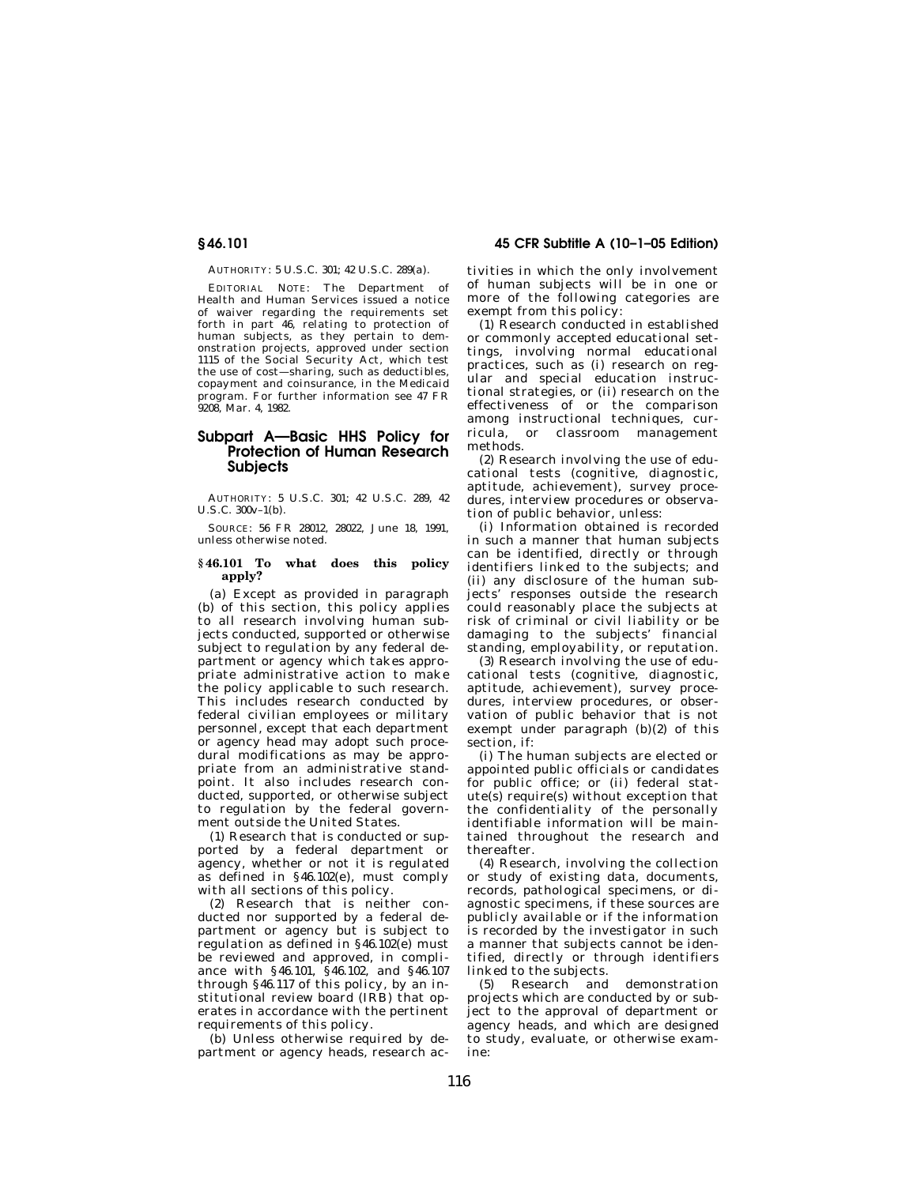AUTHORITY: 5 U.S.C. 301; 42 U.S.C. 289(a).

EDITORIAL NOTE: The Department of Health and Human Services issued a notice of waiver regarding the requirements set forth in part 46, relating to protection of human subjects, as they pertain to demonstration projects, approved under section 1115 of the Social Security Act, which test the use of cost—sharing, such as deductibles, copayment and coinsurance, in the Medicaid program. For further information see 47 FR 9208, Mar. 4, 1982.

# **Subpart A—Basic HHS Policy for Protection of Human Research Subjects**

AUTHORITY: 5 U.S.C. 301; 42 U.S.C. 289, 42 U.S.C. 300v–1(b).

SOURCE: 56 FR 28012, 28022, June 18, 1991, unless otherwise noted.

#### **§ 46.101 To what does this policy apply?**

(a) Except as provided in paragraph (b) of this section, this policy applies to all research involving human subjects conducted, supported or otherwise subject to regulation by any federal department or agency which takes appropriate administrative action to make the policy applicable to such research. This includes research conducted by federal civilian employees or military personnel, except that each department or agency head may adopt such procedural modifications as may be appropriate from an administrative standpoint. It also includes research conducted, supported, or otherwise subject to regulation by the federal government outside the United States.

(1) Research that is conducted or supported by a federal department or agency, whether or not it is regulated as defined in §46.102(e), must comply with all sections of this policy.

(2) Research that is neither conducted nor supported by a federal department or agency but is subject to regulation as defined in §46.102(e) must be reviewed and approved, in compliance with §46.101, §46.102, and §46.107 through §46.117 of this policy, by an institutional review board (IRB) that operates in accordance with the pertinent requirements of this policy.

(b) Unless otherwise required by department or agency heads, research ac-

**§ 46.101 45 CFR Subtitle A (10–1–05 Edition)** 

tivities in which the only involvement of human subjects will be in one or more of the following categories are exempt from this policy:

(1) Research conducted in established or commonly accepted educational settings, involving normal educational practices, such as (i) research on regular and special education instructional strategies, or (ii) research on the effectiveness of or the comparison among instructional techniques, curricula, or classroom management methods.

(2) Research involving the use of educational tests (cognitive, diagnostic, aptitude, achievement), survey procedures, interview procedures or observation of public behavior, unless:

(i) Information obtained is recorded in such a manner that human subjects can be identified, directly or through identifiers linked to the subjects; and (ii) any disclosure of the human subjects' responses outside the research could reasonably place the subjects at risk of criminal or civil liability or be damaging to the subjects' financial standing, employability, or reputation.

(3) Research involving the use of educational tests (cognitive, diagnostic, aptitude, achievement), survey procedures, interview procedures, or observation of public behavior that is not exempt under paragraph (b)(2) of this section, if:

(i) The human subjects are elected or appointed public officials or candidates for public office; or (ii) federal statute(s) require(s) without exception that the confidentiality of the personally identifiable information will be maintained throughout the research and thereafter.

(4) Research, involving the collection or study of existing data, documents, records, pathological specimens, or diagnostic specimens, if these sources are publicly available or if the information is recorded by the investigator in such a manner that subjects cannot be identified, directly or through identifiers linked to the subjects.

(5) Research and demonstration projects which are conducted by or subject to the approval of department or agency heads, and which are designed to study, evaluate, or otherwise examine: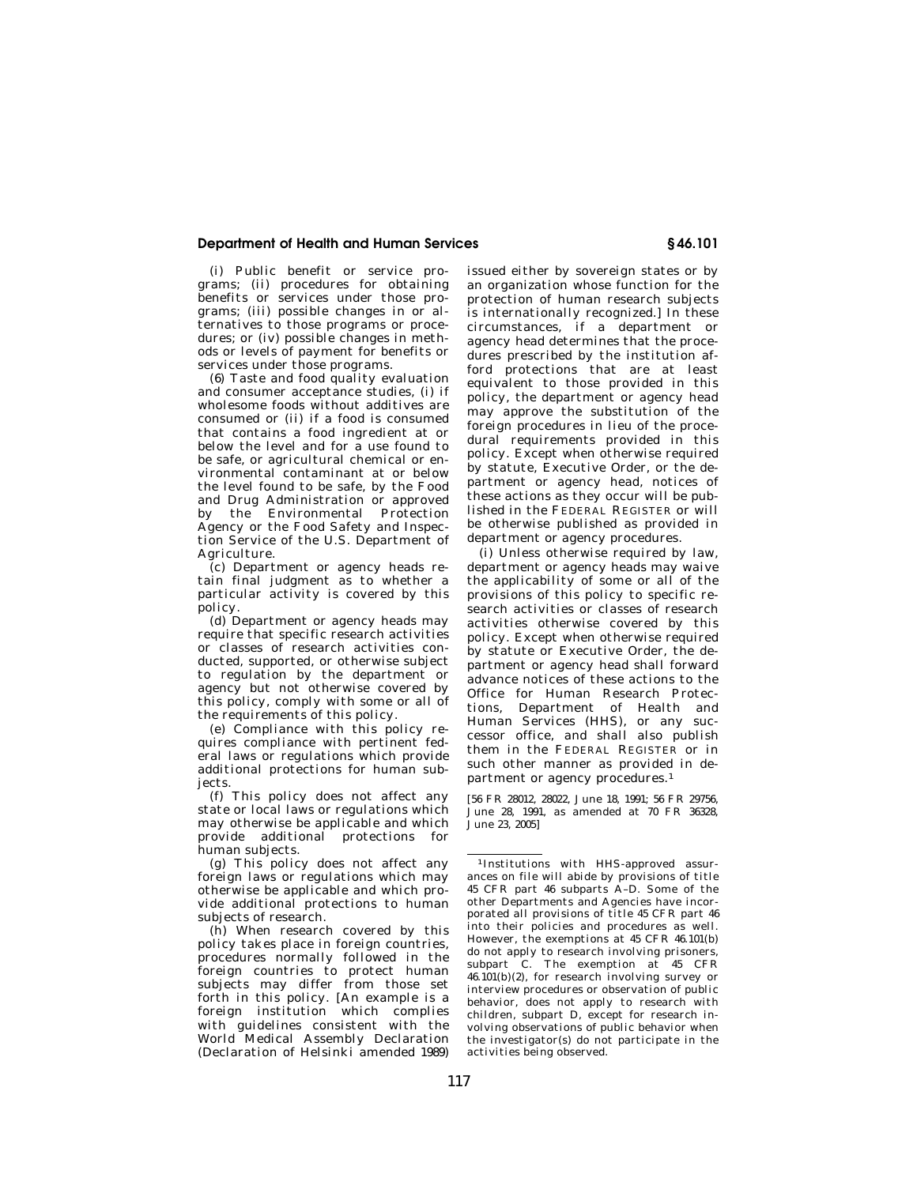(i) Public benefit or service programs; (ii) procedures for obtaining benefits or services under those programs; (iii) possible changes in or alternatives to those programs or procedures; or (iv) possible changes in methods or levels of payment for benefits or services under those programs.

(6) Taste and food quality evaluation and consumer acceptance studies, (i) if wholesome foods without additives are consumed or (ii) if a food is consumed that contains a food ingredient at or below the level and for a use found to be safe, or agricultural chemical or environmental contaminant at or below the level found to be safe, by the Food and Drug Administration or approved by the Environmental Protection Agency or the Food Safety and Inspection Service of the U.S. Department of Agriculture.

(c) Department or agency heads retain final judgment as to whether a particular activity is covered by this policy.

(d) Department or agency heads may require that specific research activities or classes of research activities conducted, supported, or otherwise subject to regulation by the department or agency but not otherwise covered by this policy, comply with some or all of the requirements of this policy.

(e) Compliance with this policy requires compliance with pertinent federal laws or regulations which provide additional protections for human subjects.

(f) This policy does not affect any state or local laws or regulations which may otherwise be applicable and which provide additional protections for human subjects.

(g) This policy does not affect any foreign laws or regulations which may otherwise be applicable and which provide additional protections to human subjects of research.

(h) When research covered by this policy takes place in foreign countries, procedures normally followed in the .<br>foreign countries to protect human subjects may differ from those set forth in this policy. [An example is a foreign institution which complies with guidelines consistent with the World Medical Assembly Declaration (Declaration of Helsinki amended 1989)

issued either by sovereign states or by an organization whose function for the protection of human research subjects is internationally recognized.] In these circumstances, if a department or agency head determines that the procedures prescribed by the institution afford protections that are at least equivalent to those provided in this policy, the department or agency head may approve the substitution of the foreign procedures in lieu of the procedural requirements provided in this policy. Except when otherwise required by statute, Executive Order, or the department or agency head, notices of these actions as they occur will be published in the FEDERAL REGISTER or will be otherwise published as provided in department or agency procedures.

(i) Unless otherwise required by law, department or agency heads may waive the applicability of some or all of the provisions of this policy to specific research activities or classes of research activities otherwise covered by this policy. Except when otherwise required by statute or Executive Order, the department or agency head shall forward advance notices of these actions to the Office for Human Research Protections, Department of Health and Human Services (HHS), or any successor office, and shall also publish them in the FEDERAL REGISTER or in such other manner as provided in department or agency procedures.1

[56 FR 28012, 28022, June 18, 1991; 56 FR 29756, June 28, 1991, as amended at 70 FR 36328, June 23, 2005]

<sup>1</sup> Institutions with HHS-approved assurances on file will abide by provisions of title 45 CFR part 46 subparts A–D. Some of the other Departments and Agencies have incorporated all provisions of title 45 CFR part 46 into their policies and procedures as well. However, the exemptions at 45 CFR 46.101(b) do not apply to research involving prisoners, subpart C. The exemption at 45 CFR 46.101(b)(2), for research involving survey or interview procedures or observation of public behavior, does not apply to research with children, subpart D, except for research involving observations of public behavior when the investigator(s) do not participate in the activities being observed.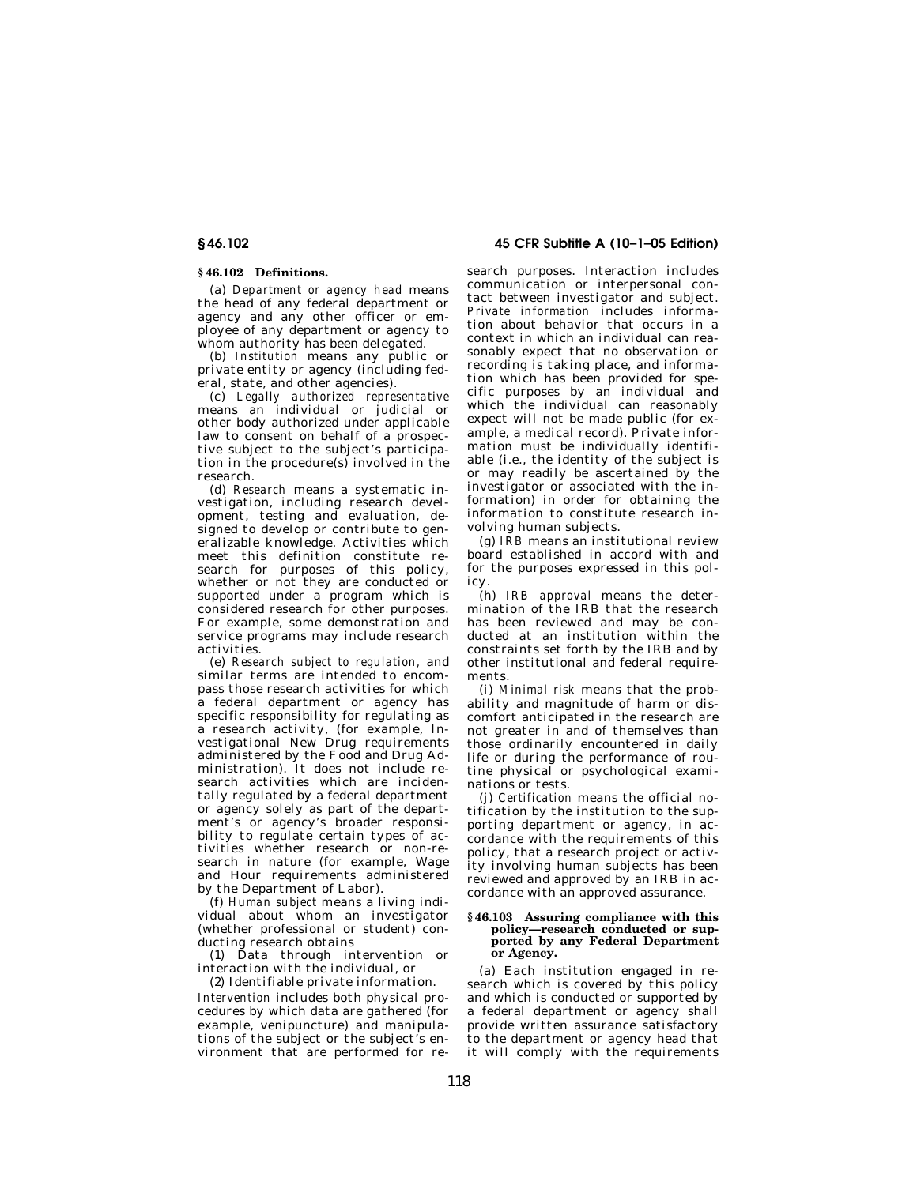# **§ 46.102 Definitions.**

(a) *Department or agency head* means the head of any federal department or agency and any other officer or employee of any department or agency to whom authority has been delegated.

(b) *Institution* means any public or private entity or agency (including federal, state, and other agencies).

(c) *Legally authorized representative*  means an individual or judicial or other body authorized under applicable law to consent on behalf of a prospective subject to the subject's participation in the procedure(s) involved in the research.

(d) *Research* means a systematic investigation, including research development, testing and evaluation, designed to develop or contribute to generalizable knowledge. Activities which meet this definition constitute research for purposes of this policy, whether or not they are conducted or supported under a program which is considered research for other purposes. For example, some demonstration and service programs may include research activities.

(e) *Research subject to regulation,* and similar terms are intended to encompass those research activities for which a federal department or agency has specific responsibility for regulating as a research activity, (for example, Investigational New Drug requirements administered by the Food and Drug Administration). It does not include research activities which are incidentally regulated by a federal department or agency solely as part of the department's or agency's broader responsibility to regulate certain types of activities whether research or non-research in nature (for example, Wage and Hour requirements administered by the Department of Labor).

(f) *Human subject* means a living individual about whom an investigator (whether professional or student) conducting research obtains

(1) Data through intervention or interaction with the individual, or

(2) Identifiable private information. *Intervention* includes both physical procedures by which data are gathered (for example, venipuncture) and manipulations of the subject or the subject's environment that are performed for re-

# **§ 46.102 45 CFR Subtitle A (10–1–05 Edition)**

search purposes. Interaction includes communication or interpersonal contact between investigator and subject. *Private information* includes information about behavior that occurs in a context in which an individual can reasonably expect that no observation or recording is taking place, and information which has been provided for specific purposes by an individual and which the individual can reasonably expect will not be made public (for example, a medical record). Private information must be individually identifiable (i.e., the identity of the subject is or may readily be ascertained by the investigator or associated with the information) in order for obtaining the information to constitute research involving human subjects.

(g) *IRB* means an institutional review board established in accord with and for the purposes expressed in this policy.

(h) *IRB approval* means the determination of the IRB that the research has been reviewed and may be conducted at an institution within the constraints set forth by the IRB and by other institutional and federal requirements.

(i) *Minimal risk* means that the probability and magnitude of harm or discomfort anticipated in the research are not greater in and of themselves than those ordinarily encountered in daily life or during the performance of routine physical or psychological examinations or tests.

(j) *Certification* means the official notification by the institution to the supporting department or agency, in accordance with the requirements of this policy, that a research project or activity involving human subjects has been reviewed and approved by an IRB in accordance with an approved assurance.

#### **§ 46.103 Assuring compliance with this policy—research conducted or supported by any Federal Department or Agency.**

(a) Each institution engaged in research which is covered by this policy and which is conducted or supported by a federal department or agency shall provide written assurance satisfactory to the department or agency head that it will comply with the requirements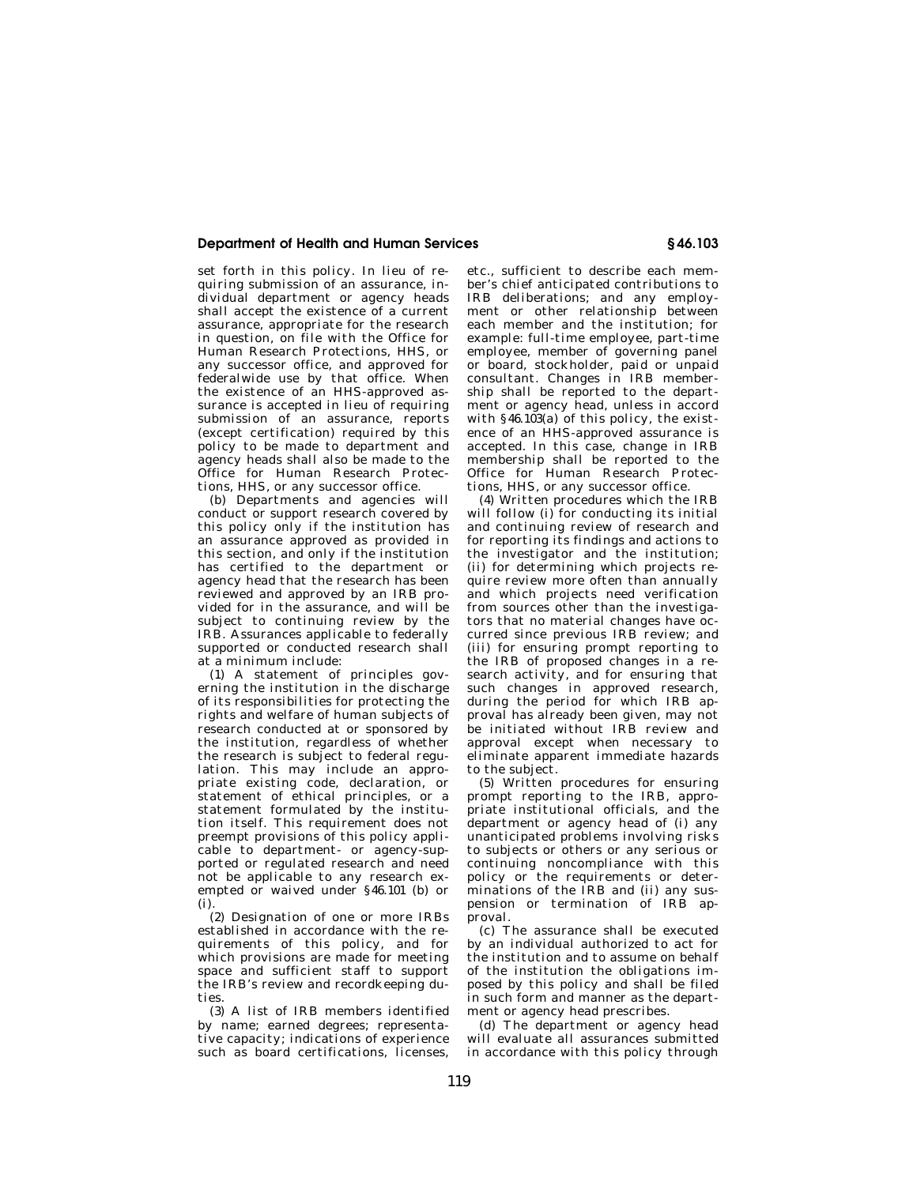set forth in this policy. In lieu of requiring submission of an assurance, individual department or agency heads shall accept the existence of a current assurance, appropriate for the research in question, on file with the Office for Human Research Protections, HHS, or any successor office, and approved for federalwide use by that office. When the existence of an HHS-approved assurance is accepted in lieu of requiring submission of an assurance, reports (except certification) required by this policy to be made to department and agency heads shall also be made to the Office for Human Research Protections, HHS, or any successor office.

(b) Departments and agencies will conduct or support research covered by this policy only if the institution has an assurance approved as provided in this section, and only if the institution has certified to the department or agency head that the research has been reviewed and approved by an IRB provided for in the assurance, and will be subject to continuing review by the IRB. Assurances applicable to federally supported or conducted research shall at a minimum include:

(1) A statement of principles governing the institution in the discharge of its responsibilities for protecting the rights and welfare of human subjects of research conducted at or sponsored by the institution, regardless of whether the research is subject to federal regulation. This may include an appropriate existing code, declaration, or statement of ethical principles, or a statement formulated by the institution itself. This requirement does not preempt provisions of this policy applicable to department- or agency-supported or regulated research and need not be applicable to any research exempted or waived under §46.101 (b) or (i).

(2) Designation of one or more IRBs established in accordance with the requirements of this policy, and for which provisions are made for meeting space and sufficient staff to support the IRB's review and recordkeeping duties.

(3) A list of IRB members identified by name; earned degrees; representative capacity; indications of experience such as board certifications, licenses, etc., sufficient to describe each member's chief anticipated contributions to IRB deliberations; and any employment or other relationship between each member and the institution; for example: full-time employee, part-time employee, member of governing panel or board, stockholder, paid or unpaid consultant. Changes in IRB membership shall be reported to the department or agency head, unless in accord with  $§46.103(a)$  of this policy, the existence of an HHS-approved assurance is accepted. In this case, change in IRB membership shall be reported to the Office for Human Research Protections, HHS, or any successor office.

(4) Written procedures which the IRB will follow (i) for conducting its initial and continuing review of research and for reporting its findings and actions to the investigator and the institution; (ii) for determining which projects require review more often than annually and which projects need verification from sources other than the investigators that no material changes have occurred since previous IRB review; and (iii) for ensuring prompt reporting to the IRB of proposed changes in a research activity, and for ensuring that such changes in approved research, during the period for which IRB approval has already been given, may not be initiated without IRB review and approval except when necessary to eliminate apparent immediate hazards to the subject.

(5) Written procedures for ensuring prompt reporting to the IRB, appropriate institutional officials, and the department or agency head of (i) any unanticipated problems involving risks to subjects or others or any serious or continuing noncompliance with this policy or the requirements or determinations of the IRB and (ii) any suspension or termination of IRB approval.

(c) The assurance shall be executed by an individual authorized to act for the institution and to assume on behalf of the institution the obligations imposed by this policy and shall be filed in such form and manner as the department or agency head prescribes.

(d) The department or agency head will evaluate all assurances submitted in accordance with this policy through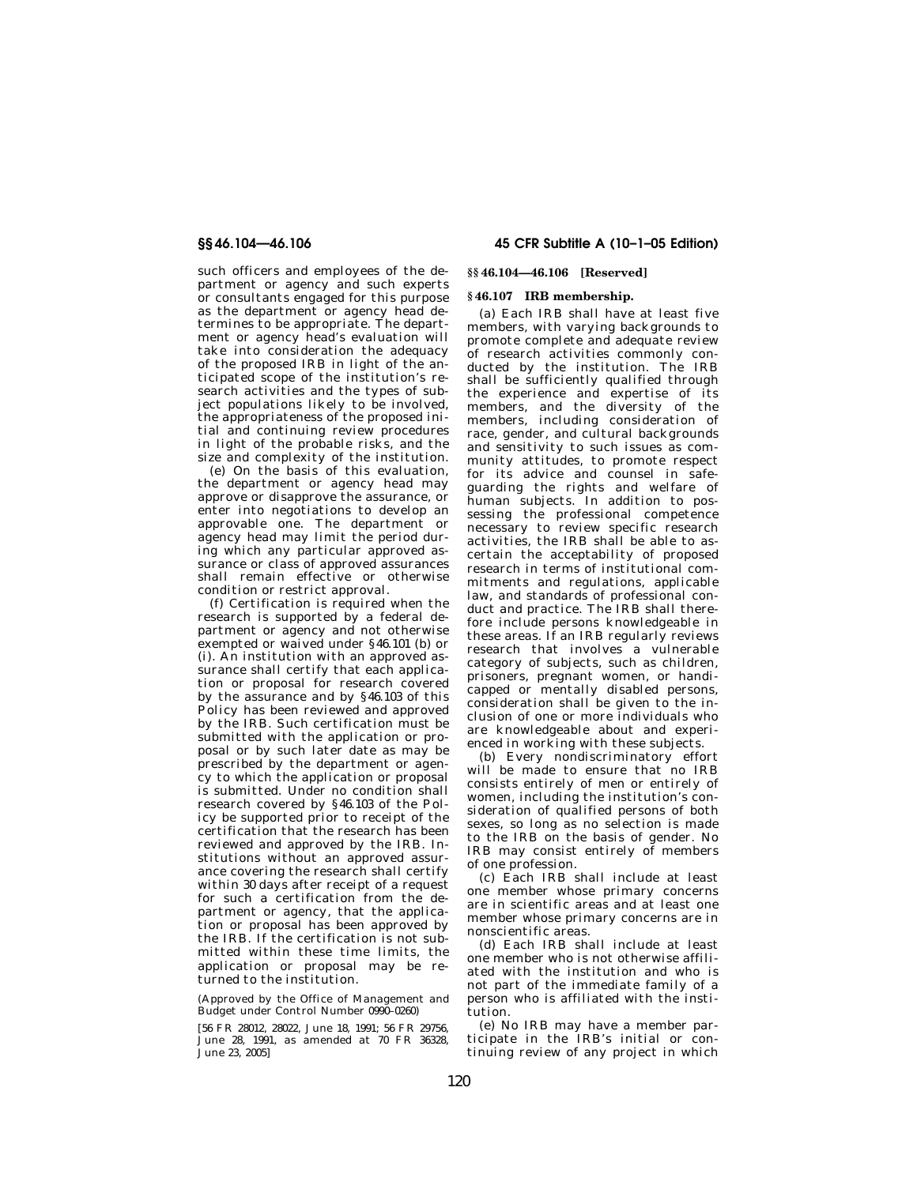such officers and employees of the department or agency and such experts or consultants engaged for this purpose as the department or agency head determines to be appropriate. The department or agency head's evaluation will take into consideration the adequacy of the proposed IRB in light of the anticipated scope of the institution's research activities and the types of subject populations likely to be involved, the appropriateness of the proposed initial and continuing review procedures in light of the probable risks, and the size and complexity of the institution.

(e) On the basis of this evaluation, the department or agency head may approve or disapprove the assurance, or enter into negotiations to develop an approvable one. The department or agency head may limit the period during which any particular approved assurance or class of approved assurances shall remain effective or otherwise condition or restrict approval.

(f) Certification is required when the research is supported by a federal department or agency and not otherwise exempted or waived under §46.101 (b) or (i). An institution with an approved assurance shall certify that each application or proposal for research covered by the assurance and by §46.103 of this Policy has been reviewed and approved by the IRB. Such certification must be submitted with the application or proposal or by such later date as may be prescribed by the department or agency to which the application or proposal is submitted. Under no condition shall research covered by §46.103 of the Policy be supported prior to receipt of the certification that the research has been reviewed and approved by the IRB. Institutions without an approved assurance covering the research shall certify within 30 days after receipt of a request for such a certification from the department or agency, that the application or proposal has been approved by the IRB. If the certification is not submitted within these time limits, the application or proposal may be returned to the institution.

(Approved by the Office of Management and Budget under Control Number 0990–0260)

[56 FR 28012, 28022, June 18, 1991; 56 FR 29756, June 28, 1991, as amended at 70 FR 36328, June 23, 2005]

# **§§ 46.104—46.106 45 CFR Subtitle A (10–1–05 Edition)**

# **§§ 46.104—46.106 [Reserved]**

# **§ 46.107 IRB membership.**

(a) Each IRB shall have at least five members, with varying backgrounds to promote complete and adequate review of research activities commonly conducted by the institution. The IRB shall be sufficiently qualified through the experience and expertise of its members, and the diversity of the members, including consideration of race, gender, and cultural backgrounds and sensitivity to such issues as community attitudes, to promote respect for its advice and counsel in safeguarding the rights and welfare of human subjects. In addition to possessing the professional competence necessary to review specific research activities, the IRB shall be able to ascertain the acceptability of proposed research in terms of institutional commitments and regulations, applicable law, and standards of professional conduct and practice. The IRB shall therefore include persons knowledgeable in these areas. If an IRB regularly reviews research that involves a vulnerable category of subjects, such as children, prisoners, pregnant women, or handicapped or mentally disabled persons, consideration shall be given to the inclusion of one or more individuals who are knowledgeable about and experienced in working with these subjects.

(b) Every nondiscriminatory effort will be made to ensure that no IRB consists entirely of men or entirely of women, including the institution's consideration of qualified persons of both sexes, so long as no selection is made to the IRB on the basis of gender. No IRB may consist entirely of members of one profession.

(c) Each IRB shall include at least one member whose primary concerns are in scientific areas and at least one member whose primary concerns are in nonscientific areas.

(d) Each IRB shall include at least one member who is not otherwise affiliated with the institution and who is not part of the immediate family of a person who is affiliated with the institution.

(e) No IRB may have a member participate in the IRB's initial or continuing review of any project in which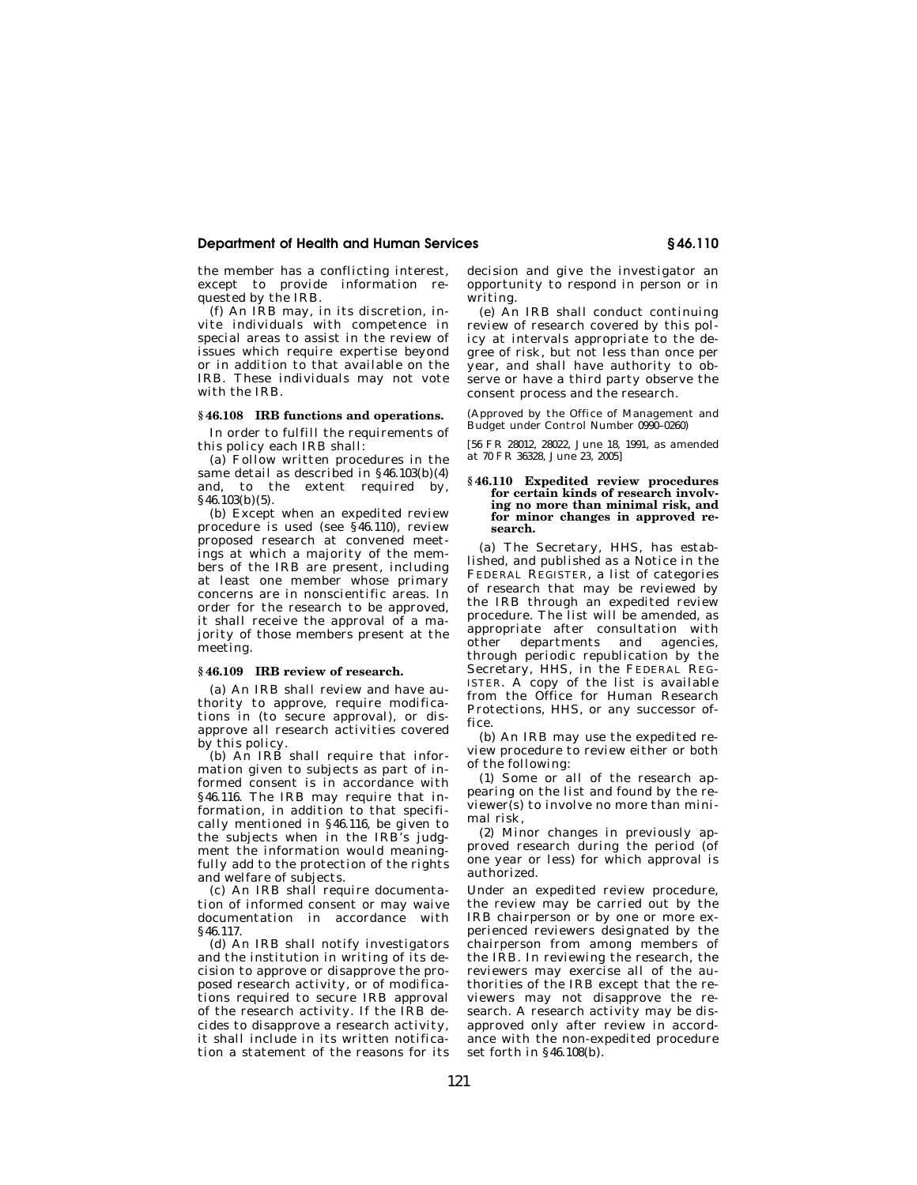the member has a conflicting interest, except to provide information requested by the IRB.

(f) An IRB may, in its discretion, invite individuals with competence in special areas to assist in the review of issues which require expertise beyond or in addition to that available on the IRB. These individuals may not vote with the IRB.

# **§ 46.108 IRB functions and operations.**

In order to fulfill the requirements of this policy each IRB shall:

(a) Follow written procedures in the same detail as described in §46.103(b)(4) and, to the extent required by, §46.103(b)(5).

(b) Except when an expedited review procedure is used (see §46.110), review proposed research at convened meetings at which a majority of the members of the IRB are present, including at least one member whose primary concerns are in nonscientific areas. In order for the research to be approved, it shall receive the approval of a majority of those members present at the meeting.

### **§ 46.109 IRB review of research.**

(a) An IRB shall review and have authority to approve, require modifications in (to secure approval), or disapprove all research activities covered by this policy.

(b) An IRB shall require that information given to subjects as part of informed consent is in accordance with §46.116. The IRB may require that information, in addition to that specifically mentioned in §46.116, be given to the subjects when in the IRB's judgment the information would meaningfully add to the protection of the rights and welfare of subjects.

(c) An IRB shall require documentation of informed consent or may waive documentation in accordance with §46.117.

(d) An IRB shall notify investigators and the institution in writing of its decision to approve or disapprove the proposed research activity, or of modifications required to secure IRB approval of the research activity. If the IRB decides to disapprove a research activity, it shall include in its written notification a statement of the reasons for its decision and give the investigator an opportunity to respond in person or in writing.

(e) An IRB shall conduct continuing review of research covered by this policy at intervals appropriate to the degree of risk, but not less than once per year, and shall have authority to observe or have a third party observe the consent process and the research.

(Approved by the Office of Management and Budget under Control Number 0990–0260)

[56 FR 28012, 28022, June 18, 1991, as amended at 70 FR 36328, June 23, 2005]

#### **§ 46.110 Expedited review procedures for certain kinds of research involving no more than minimal risk, and for minor changes in approved research.**

(a) The Secretary, HHS, has established, and published as a Notice in the FEDERAL REGISTER, a list of categories of research that may be reviewed by the IRB through an expedited review procedure. The list will be amended, as appropriate after consultation with other departments and agencies, through periodic republication by the Secretary, HHS, in the FEDERAL REG-ISTER. A copy of the list is available from the Office for Human Research Protections, HHS, or any successor office.

(b) An IRB may use the expedited review procedure to review either or both of the following:

(1) Some or all of the research appearing on the list and found by the reviewer(s) to involve no more than minimal risk,

(2) Minor changes in previously approved research during the period (of one year or less) for which approval is authorized.

Under an expedited review procedure, the review may be carried out by the IRB chairperson or by one or more experienced reviewers designated by the chairperson from among members of the IRB. In reviewing the research, the reviewers may exercise all of the authorities of the IRB except that the reviewers may not disapprove the research. A research activity may be disapproved only after review in accordance with the non-expedited procedure set forth in §46.108(b).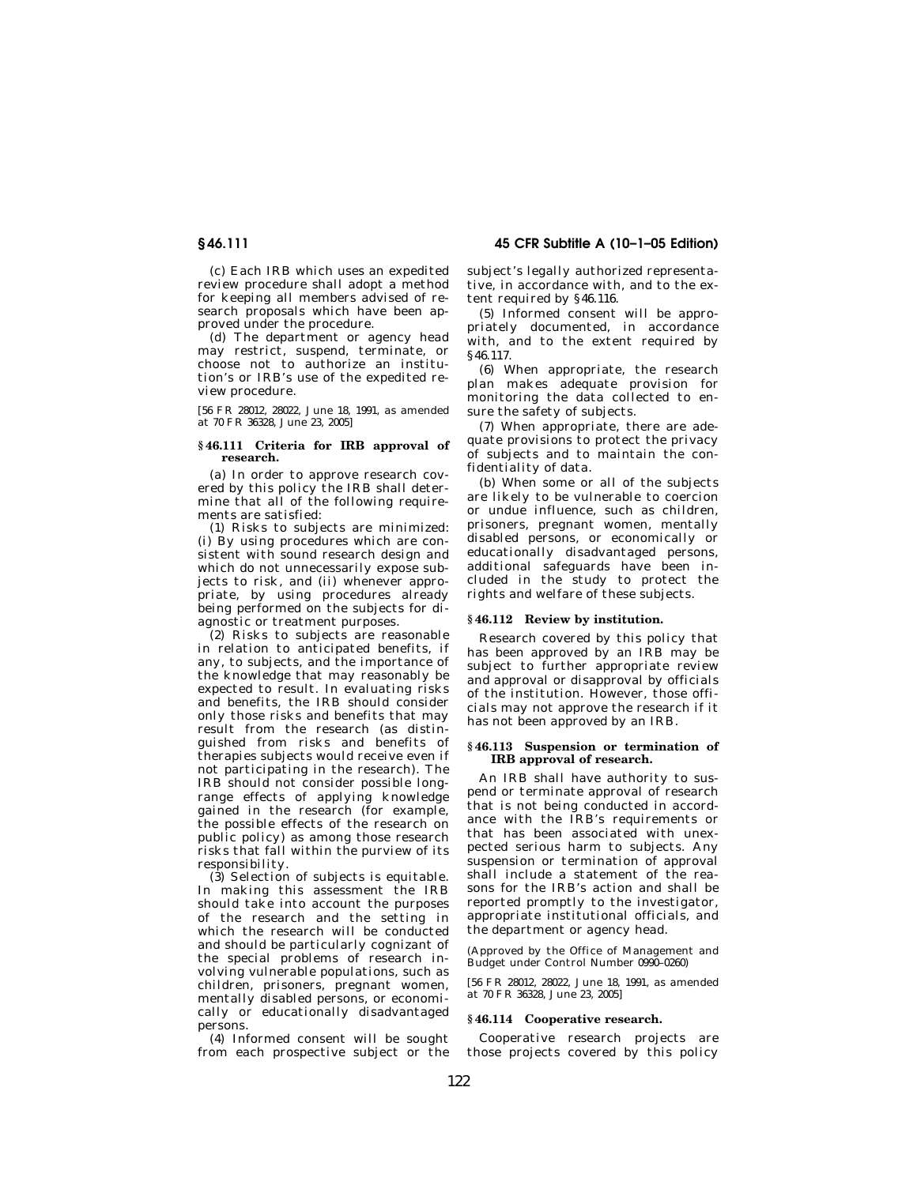**§ 46.111 45 CFR Subtitle A (10–1–05 Edition)** 

(c) Each IRB which uses an expedited review procedure shall adopt a method for keeping all members advised of research proposals which have been approved under the procedure.

(d) The department or agency head may restrict, suspend, terminate, or choose not to authorize an institution's or IRB's use of the expedited review procedure.

[56 FR 28012, 28022, June 18, 1991, as amended at 70 FR 36328, June 23, 2005]

### **§ 46.111 Criteria for IRB approval of research.**

(a) In order to approve research covered by this policy the IRB shall determine that all of the following requirements are satisfied:

(1) Risks to subjects are minimized: (i) By using procedures which are consistent with sound research design and which do not unnecessarily expose subjects to risk, and (ii) whenever appropriate, by using procedures already being performed on the subjects for diagnostic or treatment purposes.

(2) Risks to subjects are reasonable in relation to anticipated benefits, if any, to subjects, and the importance of the knowledge that may reasonably be expected to result. In evaluating risks and benefits, the IRB should consider only those risks and benefits that may result from the research (as distinguished from risks and benefits of therapies subjects would receive even if not participating in the research). The IRB should not consider possible longrange effects of applying knowledge gained in the research (for example, the possible effects of the research on public policy) as among those research risks that fall within the purview of its responsibility.

(3) Selection of subjects is equitable. In making this assessment the IRB should take into account the purposes of the research and the setting in which the research will be conducted and should be particularly cognizant of the special problems of research involving vulnerable populations, such as children, prisoners, pregnant women, mentally disabled persons, or economically or educationally disadvantaged persons.

(4) Informed consent will be sought from each prospective subject or the subject's legally authorized representative, in accordance with, and to the extent required by §46.116.

(5) Informed consent will be appropriately documented, in accordance with, and to the extent required by §46.117.

(6) When appropriate, the research plan makes adequate provision for monitoring the data collected to ensure the safety of subjects.

(7) When appropriate, there are adequate provisions to protect the privacy of subjects and to maintain the confidentiality of data.

(b) When some or all of the subjects are likely to be vulnerable to coercion or undue influence, such as children, prisoners, pregnant women, mentally disabled persons, or economically or educationally disadvantaged persons, additional safeguards have been included in the study to protect the rights and welfare of these subjects.

# **§ 46.112 Review by institution.**

Research covered by this policy that has been approved by an IRB may be subject to further appropriate review and approval or disapproval by officials of the institution. However, those officials may not approve the research if it has not been approved by an IRB.

## **§ 46.113 Suspension or termination of IRB approval of research.**

An IRB shall have authority to suspend or terminate approval of research that is not being conducted in accordance with the IRB's requirements or that has been associated with unexpected serious harm to subjects. Any suspension or termination of approval shall include a statement of the reasons for the IRB's action and shall be reported promptly to the investigator, appropriate institutional officials, and the department or agency head.

(Approved by the Office of Management and Budget under Control Number 0990–0260)

[56 FR 28012, 28022, June 18, 1991, as amended at 70 FR 36328, June 23, 2005]

## **§ 46.114 Cooperative research.**

Cooperative research projects are those projects covered by this policy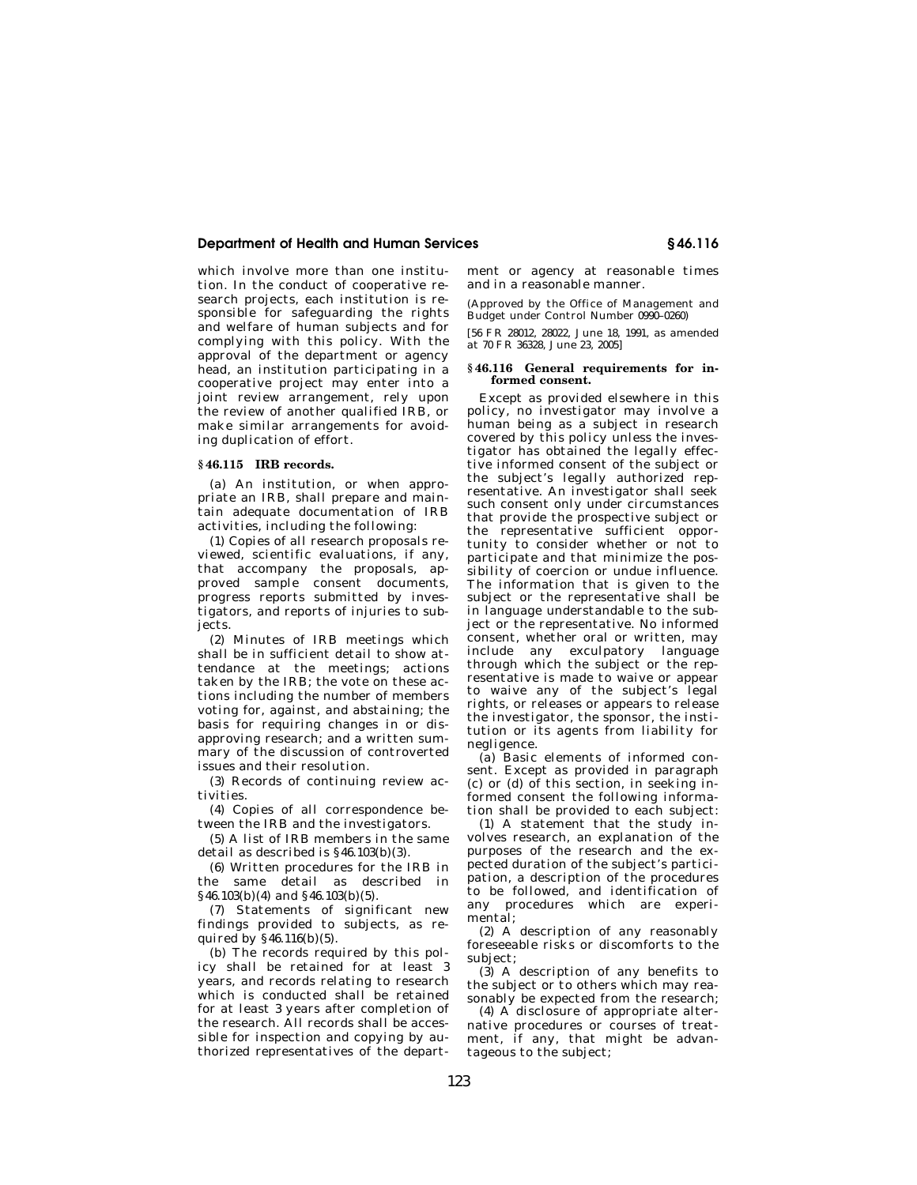which involve more than one institution. In the conduct of cooperative research projects, each institution is responsible for safeguarding the rights and welfare of human subjects and for complying with this policy. With the approval of the department or agency head, an institution participating in a cooperative project may enter into a joint review arrangement, rely upon the review of another qualified IRB, or make similar arrangements for avoiding duplication of effort.

# **§ 46.115 IRB records.**

(a) An institution, or when appropriate an IRB, shall prepare and maintain adequate documentation of IRB activities, including the following:

(1) Copies of all research proposals reviewed, scientific evaluations, if any, that accompany the proposals, approved sample consent documents, progress reports submitted by investigators, and reports of injuries to subjects.

(2) Minutes of IRB meetings which shall be in sufficient detail to show attendance at the meetings; actions taken by the IRB; the vote on these actions including the number of members voting for, against, and abstaining; the basis for requiring changes in or disapproving research; and a written summary of the discussion of controverted issues and their resolution.

(3) Records of continuing review activities.

(4) Copies of all correspondence between the IRB and the investigators.

(5) A list of IRB members in the same detail as described is §46.103(b)(3).

(6) Written procedures for the IRB in the same detail as described in §46.103(b)(4) and §46.103(b)(5).

(7) Statements of significant new findings provided to subjects, as required by §46.116(b)(5).

(b) The records required by this policy shall be retained for at least 3 years, and records relating to research which is conducted shall be retained for at least 3 years after completion of the research. All records shall be accessible for inspection and copying by authorized representatives of the department or agency at reasonable times and in a reasonable manner.

(Approved by the Office of Management and Budget under Control Number 0990–0260)

[56 FR 28012, 28022, June 18, 1991, as amended at 70 FR 36328, June 23, 2005]

## **§ 46.116 General requirements for informed consent.**

Except as provided elsewhere in this policy, no investigator may involve a human being as a subject in research covered by this policy unless the investigator has obtained the legally effective informed consent of the subject or the subject's legally authorized representative. An investigator shall seek such consent only under circumstances that provide the prospective subject or the representative sufficient opportunity to consider whether or not to participate and that minimize the possibility of coercion or undue influence. The information that is given to the subject or the representative shall be in language understandable to the subject or the representative. No informed consent, whether oral or written, may include any exculpatory language through which the subject or the representative is made to waive or appear to waive any of the subject's legal rights, or releases or appears to release the investigator, the sponsor, the institution or its agents from liability for negligence.

(a) Basic elements of informed consent. Except as provided in paragraph (c) or (d) of this section, in seeking informed consent the following information shall be provided to each subject:

(1) A statement that the study involves research, an explanation of the purposes of the research and the expected duration of the subject's participation, a description of the procedures to be followed, and identification of any procedures which are experimental;

(2) A description of any reasonably foreseeable risks or discomforts to the subject;

 $(3)$  A description of any benefits to the subject or to others which may reasonably be expected from the research;

(4) A disclosure of appropriate alternative procedures or courses of treatment, if any, that might be advantageous to the subject;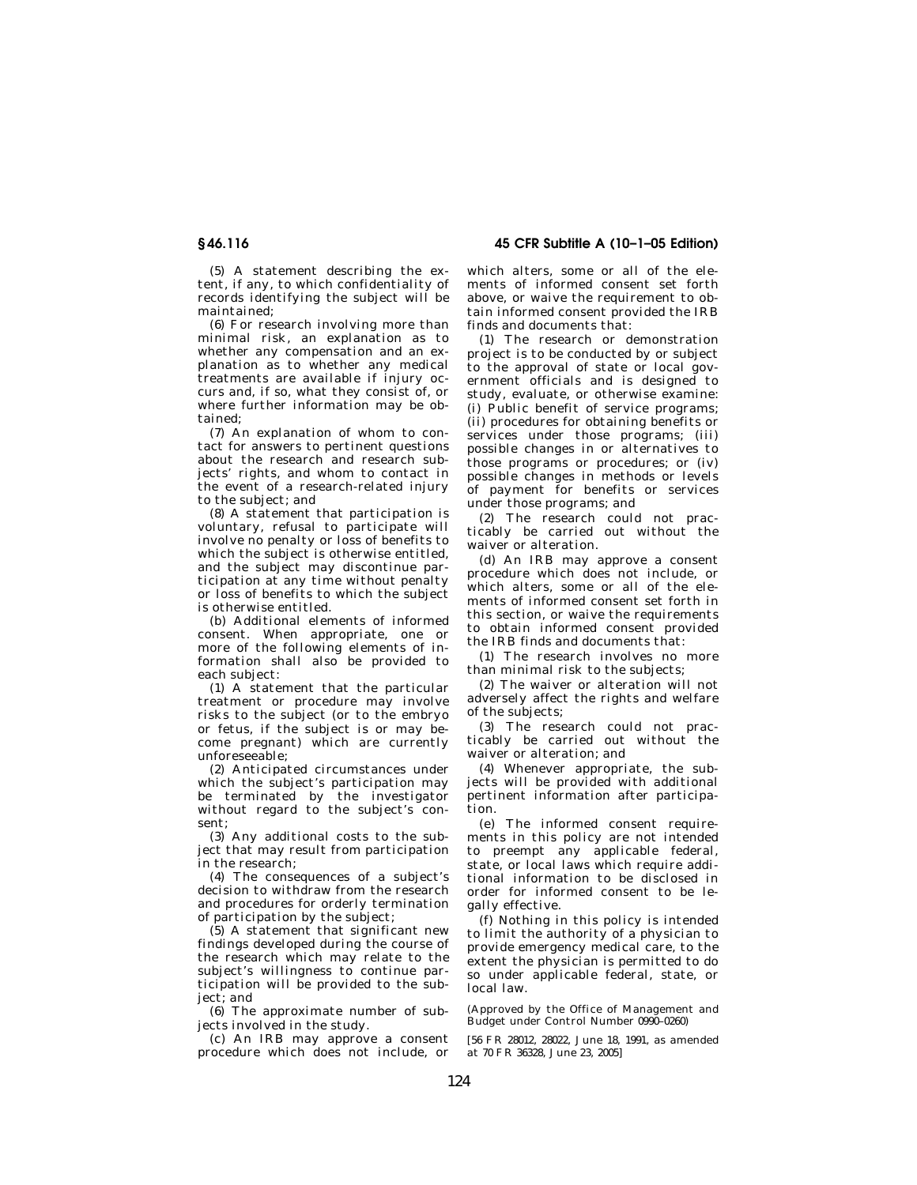**§ 46.116 45 CFR Subtitle A (10–1–05 Edition)** 

(5) A statement describing the extent, if any, to which confidentiality of records identifying the subject will be maintained;

(6) For research involving more than minimal risk, an explanation as to whether any compensation and an explanation as to whether any medical .<br>treatments are available if injury occurs and, if so, what they consist of, or where further information may be obtained;

(7) An explanation of whom to contact for answers to pertinent questions about the research and research subjects' rights, and whom to contact in the event of a research-related injury to the subject; and

(8) A statement that participation is voluntary, refusal to participate will involve no penalty or loss of benefits to which the subject is otherwise entitled, and the subject may discontinue participation at any time without penalty or loss of benefits to which the subject is otherwise entitled.

(b) Additional elements of informed consent. When appropriate, one or more of the following elements of information shall also be provided to each subject:

(1) A statement that the particular treatment or procedure may involve risks to the subject (or to the embryo or fetus, if the subject is or may become pregnant) which are currently unforeseeable;

(2) Anticipated circumstances under which the subject's participation may be terminated by the investigator without regard to the subject's consent;

(3) Any additional costs to the subject that may result from participation in the research;

(4) The consequences of a subject's decision to withdraw from the research and procedures for orderly termination of participation by the subject;

(5) A statement that significant new findings developed during the course of the research which may relate to the subject's willingness to continue participation will be provided to the subject; and

(6) The approximate number of subjects involved in the study.

(c) An IRB may approve a consent procedure which does not include, or which alters, some or all of the elements of informed consent set forth above, or waive the requirement to obtain informed consent provided the IRB finds and documents that:

(1) The research or demonstration project is to be conducted by or subject to the approval of state or local government officials and is designed to study, evaluate, or otherwise examine: (i) Public benefit of service programs; (ii) procedures for obtaining benefits or services under those programs; (iii) possible changes in or alternatives to those programs or procedures; or (iv) possible changes in methods or levels of payment for benefits or services under those programs; and

(2) The research could not practicably be carried out without the waiver or alteration.

(d) An IRB may approve a consent procedure which does not include, or which alters, some or all of the elements of informed consent set forth in this section, or waive the requirements to obtain informed consent provided the IRB finds and documents that:

(1) The research involves no more than minimal risk to the subjects;

(2) The waiver or alteration will not adversely affect the rights and welfare of the subjects;

(3) The research could not practicably be carried out without the waiver or alteration; and

(4) Whenever appropriate, the subjects will be provided with additional pertinent information after participation.

(e) The informed consent requirements in this policy are not intended to preempt any applicable federal, state, or local laws which require additional information to be disclosed in order for informed consent to be legally effective.

(f) Nothing in this policy is intended to limit the authority of a physician to provide emergency medical care, to the extent the physician is permitted to do so under applicable federal, state, or local law.

(Approved by the Office of Management and Budget under Control Number 0990–0260)

[56 FR 28012, 28022, June 18, 1991, as amended at 70 FR 36328, June 23, 2005]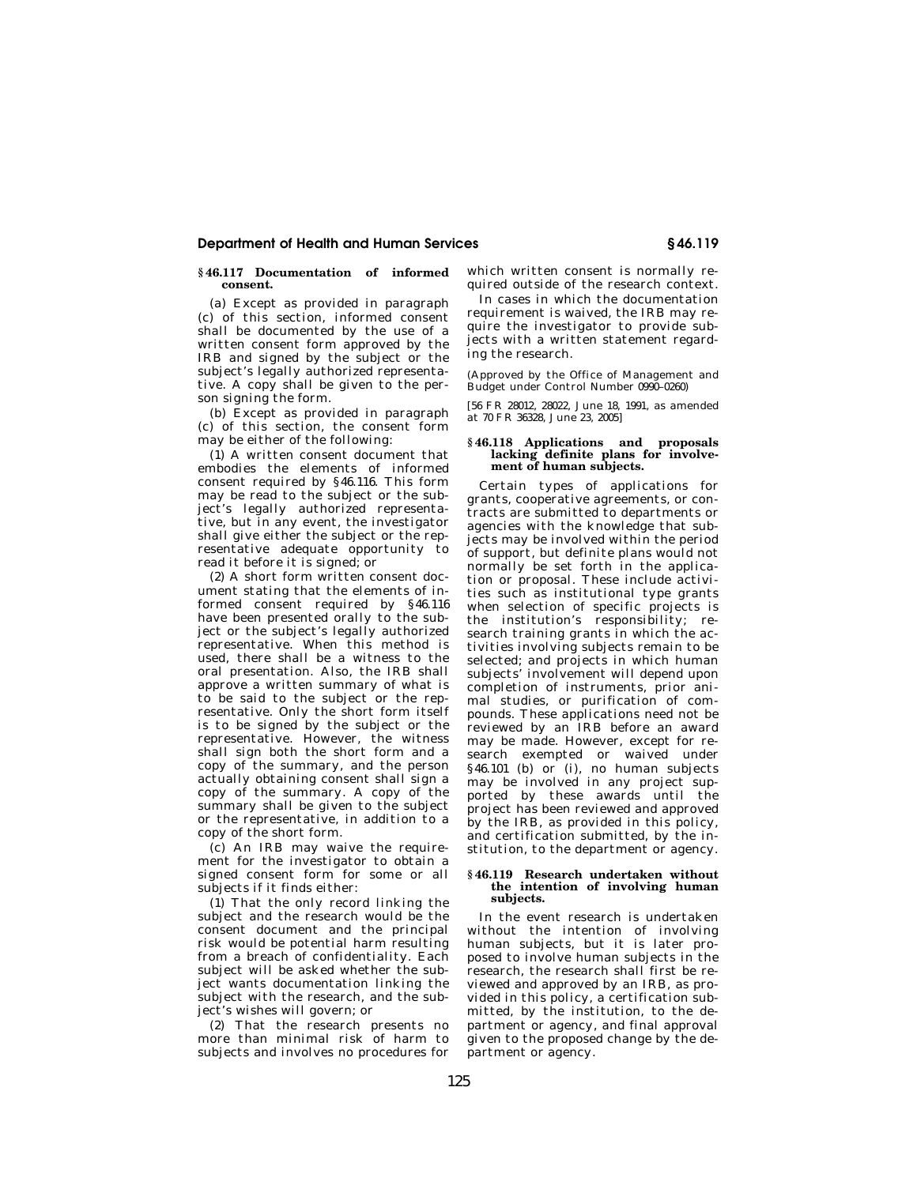### **§ 46.117 Documentation of informed consent.**

(a) Except as provided in paragraph (c) of this section, informed consent shall be documented by the use of a written consent form approved by the IRB and signed by the subject or the subject's legally authorized representative. A copy shall be given to the person signing the form.

(b) Except as provided in paragraph (c) of this section, the consent form may be either of the following:

(1) A written consent document that embodies the elements of informed consent required by §46.116. This form may be read to the subject or the subject's legally authorized representative, but in any event, the investigator shall give either the subject or the representative adequate opportunity to read it before it is signed; or

(2) A short form written consent document stating that the elements of informed consent required by §46.116 have been presented orally to the subject or the subject's legally authorized representative. When this method is used, there shall be a witness to the oral presentation. Also, the IRB shall approve a written summary of what is to be said to the subject or the representative. Only the short form itself is to be signed by the subject or the representative. However, the witness shall sign both the short form and a copy of the summary, and the person actually obtaining consent shall sign a copy of the summary. A copy of the summary shall be given to the subject or the representative, in addition to a copy of the short form.

(c) An IRB may waive the requirement for the investigator to obtain a signed consent form for some or all subjects if it finds either:

(1) That the only record linking the subject and the research would be the consent document and the principal risk would be potential harm resulting from a breach of confidentiality. Each subject will be asked whether the subject wants documentation linking the subject with the research, and the subject's wishes will govern; or

(2) That the research presents no more than minimal risk of harm to subjects and involves no procedures for which written consent is normally required outside of the research context.

In cases in which the documentation requirement is waived, the IRB may require the investigator to provide subjects with a written statement regarding the research.

(Approved by the Office of Management and Budget under Control Number 0990–0260)

[56 FR 28012, 28022, June 18, 1991, as amended at 70 FR 36328, June 23, 2005]

#### **§ 46.118 Applications and proposals lacking definite plans for involvement of human subjects.**

Certain types of applications for grants, cooperative agreements, or contracts are submitted to departments or agencies with the knowledge that subjects may be involved within the period of support, but definite plans would not normally be set forth in the application or proposal. These include activities such as institutional type grants when selection of specific projects is the institution's responsibility; research training grants in which the activities involving subjects remain to be selected; and projects in which human subjects' involvement will depend upon completion of instruments, prior animal studies, or purification of compounds. These applications need not be reviewed by an IRB before an award may be made. However, except for research exempted or waived under §46.101 (b) or (i), no human subjects may be involved in any project supported by these awards until the project has been reviewed and approved by the IRB, as provided in this policy, and certification submitted, by the institution, to the department or agency.

#### **§ 46.119 Research undertaken without the intention of involving human subjects.**

In the event research is undertaken without the intention of involving human subjects, but it is later proposed to involve human subjects in the research, the research shall first be reviewed and approved by an IRB, as provided in this policy, a certification submitted, by the institution, to the department or agency, and final approval given to the proposed change by the department or agency.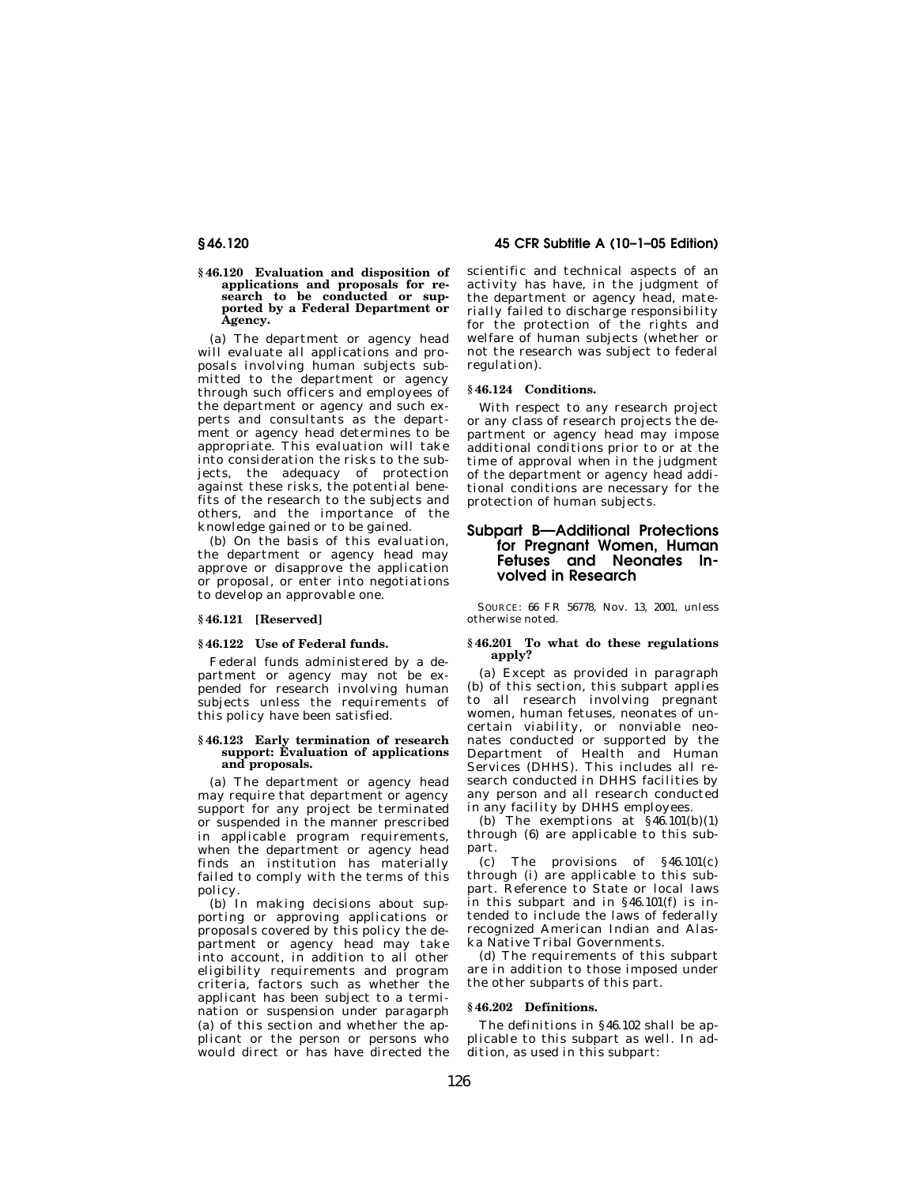#### **§ 46.120 Evaluation and disposition of applications and proposals for research to be conducted or supported by a Federal Department or Agency.**

(a) The department or agency head will evaluate all applications and proposals involving human subjects submitted to the department or agency through such officers and employees of the department or agency and such experts and consultants as the department or agency head determines to be appropriate. This evaluation will take into consideration the risks to the subjects, the adequacy of protection against these risks, the potential benefits of the research to the subjects and others, and the importance of the knowledge gained or to be gained.

(b) On the basis of this evaluation, the department or agency head may approve or disapprove the application or proposal, or enter into negotiations to develop an approvable one.

# **§ 46.121 [Reserved]**

# **§ 46.122 Use of Federal funds.**

Federal funds administered by a department or agency may not be expended for research involving human subjects unless the requirements of this policy have been satisfied.

## **§ 46.123 Early termination of research support: Evaluation of applications and proposals.**

(a) The department or agency head may require that department or agency support for any project be terminated or suspended in the manner prescribed in applicable program requirements, when the department or agency head finds an institution has materially failed to comply with the terms of this policy.

(b) In making decisions about supporting or approving applications or proposals covered by this policy the department or agency head may take into account, in addition to all other eligibility requirements and program criteria, factors such as whether the applicant has been subject to a termination or suspension under paragarph (a) of this section and whether the applicant or the person or persons who would direct or has have directed the

**§ 46.120 45 CFR Subtitle A (10–1–05 Edition)** 

scientific and technical aspects of an activity has have, in the judgment of the department or agency head, materially failed to discharge responsibility for the protection of the rights and welfare of human subjects (whether or not the research was subject to federal regulation).

#### **§ 46.124 Conditions.**

With respect to any research project or any class of research projects the department or agency head may impose additional conditions prior to or at the time of approval when in the judgment of the department or agency head additional conditions are necessary for the protection of human subjects.

# **Subpart B—Additional Protections for Pregnant Women, Human Fetuses and Neonates Involved in Research**

SOURCE: 66 FR 56778, Nov. 13, 2001, unless otherwise noted.

#### **§ 46.201 To what do these regulations apply?**

(a) Except as provided in paragraph (b) of this section, this subpart applies to all research involving pregnant women, human fetuses, neonates of uncertain viability, or nonviable neonates conducted or supported by the Department of Health and Human Services (DHHS). This includes all research conducted in DHHS facilities by any person and all research conducted in any facility by DHHS employees.

(b) The exemptions at  $§46.101(b)(1)$ through (6) are applicable to this subpart.

(c) The provisions of §46.101(c) through (i) are applicable to this subpart. Reference to State or local laws in this subpart and in §46.101(f) is intended to include the laws of federally recognized American Indian and Alaska Native Tribal Governments.

(d) The requirements of this subpart are in addition to those imposed under the other subparts of this part.

### **§ 46.202 Definitions.**

The definitions in §46.102 shall be applicable to this subpart as well. In addition, as used in this subpart: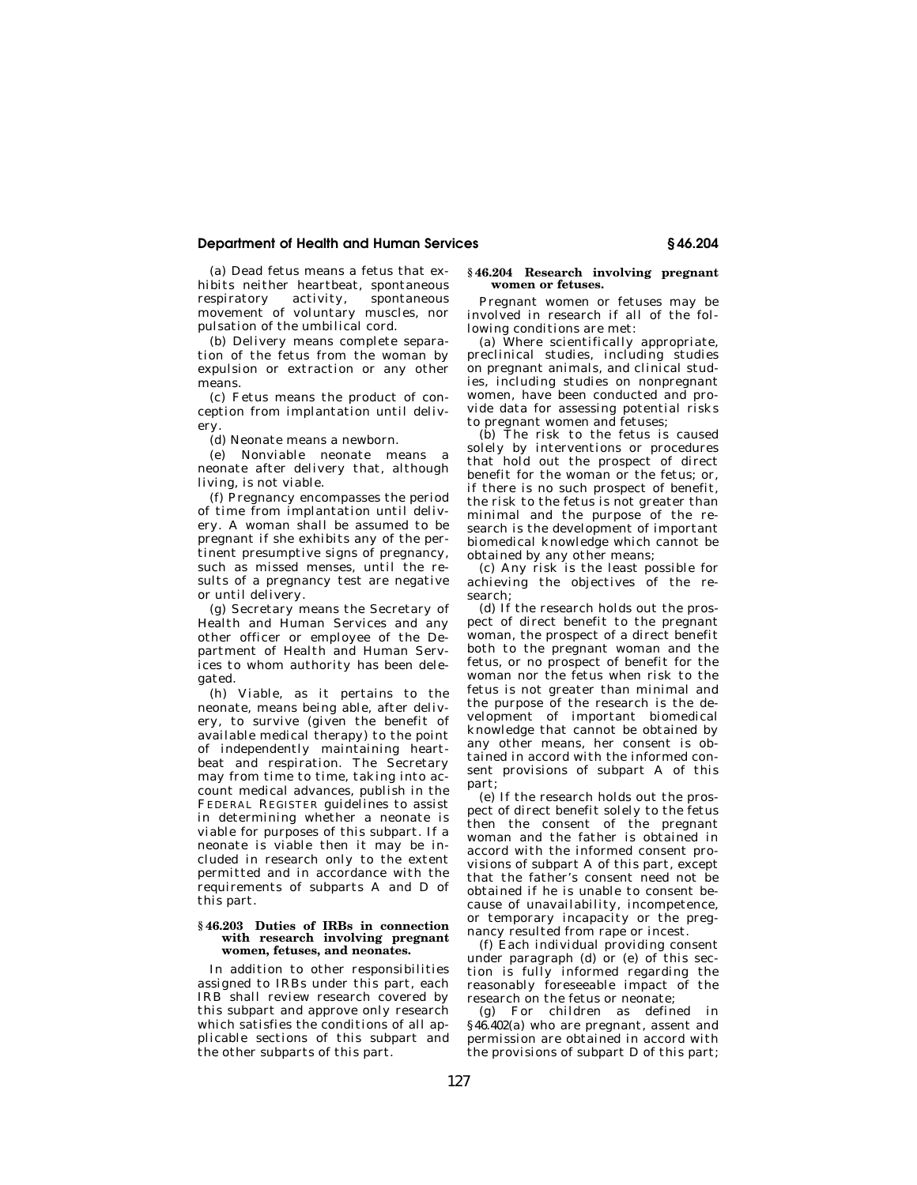(a) Dead fetus means a fetus that exhibits neither heartbeat, spontaneous respiratory activity, spontaneous movement of voluntary muscles, nor pulsation of the umbilical cord.

(b) Delivery means complete separation of the fetus from the woman by expulsion or extraction or any other means.

(c) Fetus means the product of conception from implantation until delivery.

(d) Neonate means a newborn.

(e) Nonviable neonate means a neonate after delivery that, although living, is not viable.

(f) Pregnancy encompasses the period of time from implantation until delivery. A woman shall be assumed to be pregnant if she exhibits any of the pertinent presumptive signs of pregnancy, such as missed menses, until the results of a pregnancy test are negative or until delivery.

(g) Secretary means the Secretary of Health and Human Services and any other officer or employee of the Department of Health and Human Services to whom authority has been delegated.

(h) Viable, as it pertains to the neonate, means being able, after delivery, to survive (given the benefit of available medical therapy) to the point of independently maintaining heartbeat and respiration. The Secretary may from time to time, taking into account medical advances, publish in the FEDERAL REGISTER guidelines to assist in determining whether a neonate is viable for purposes of this subpart. If a neonate is viable then it may be included in research only to the extent permitted and in accordance with the requirements of subparts A and D of this part.

### **§ 46.203 Duties of IRBs in connection with research involving pregnant women, fetuses, and neonates.**

In addition to other responsibilities assigned to IRBs under this part, each IRB shall review research covered by this subpart and approve only research which satisfies the conditions of all applicable sections of this subpart and the other subparts of this part.

## **§ 46.204 Research involving pregnant women or fetuses.**

Pregnant women or fetuses may be involved in research if all of the following conditions are met:

(a) Where scientifically appropriate, preclinical studies, including studies on pregnant animals, and clinical studies, including studies on nonpregnant women, have been conducted and provide data for assessing potential risks to pregnant women and fetuses;

(b) The risk to the fetus is caused solely by interventions or procedures that hold out the prospect of direct benefit for the woman or the fetus; or, if there is no such prospect of benefit, the risk to the fetus is not greater than minimal and the purpose of the research is the development of important biomedical knowledge which cannot be obtained by any other means;

(c) Any risk is the least possible for achieving the objectives of the research;

(d) If the research holds out the prospect of direct benefit to the pregnant woman, the prospect of a direct benefit both to the pregnant woman and the fetus, or no prospect of benefit for the woman nor the fetus when risk to the fetus is not greater than minimal and the purpose of the research is the development of important biomedical knowledge that cannot be obtained by any other means, her consent is obtained in accord with the informed consent provisions of subpart A of this part;

(e) If the research holds out the prospect of direct benefit solely to the fetus then the consent of the pregnant woman and the father is obtained in accord with the informed consent provisions of subpart A of this part, except that the father's consent need not be obtained if he is unable to consent because of unavailability, incompetence, or temporary incapacity or the pregnancy resulted from rape or incest.

(f) Each individual providing consent under paragraph (d) or (e) of this section is fully informed regarding the reasonably foreseeable impact of the research on the fetus or neonate;

(g) For children as defined in §46.402(a) who are pregnant, assent and permission are obtained in accord with the provisions of subpart D of this part;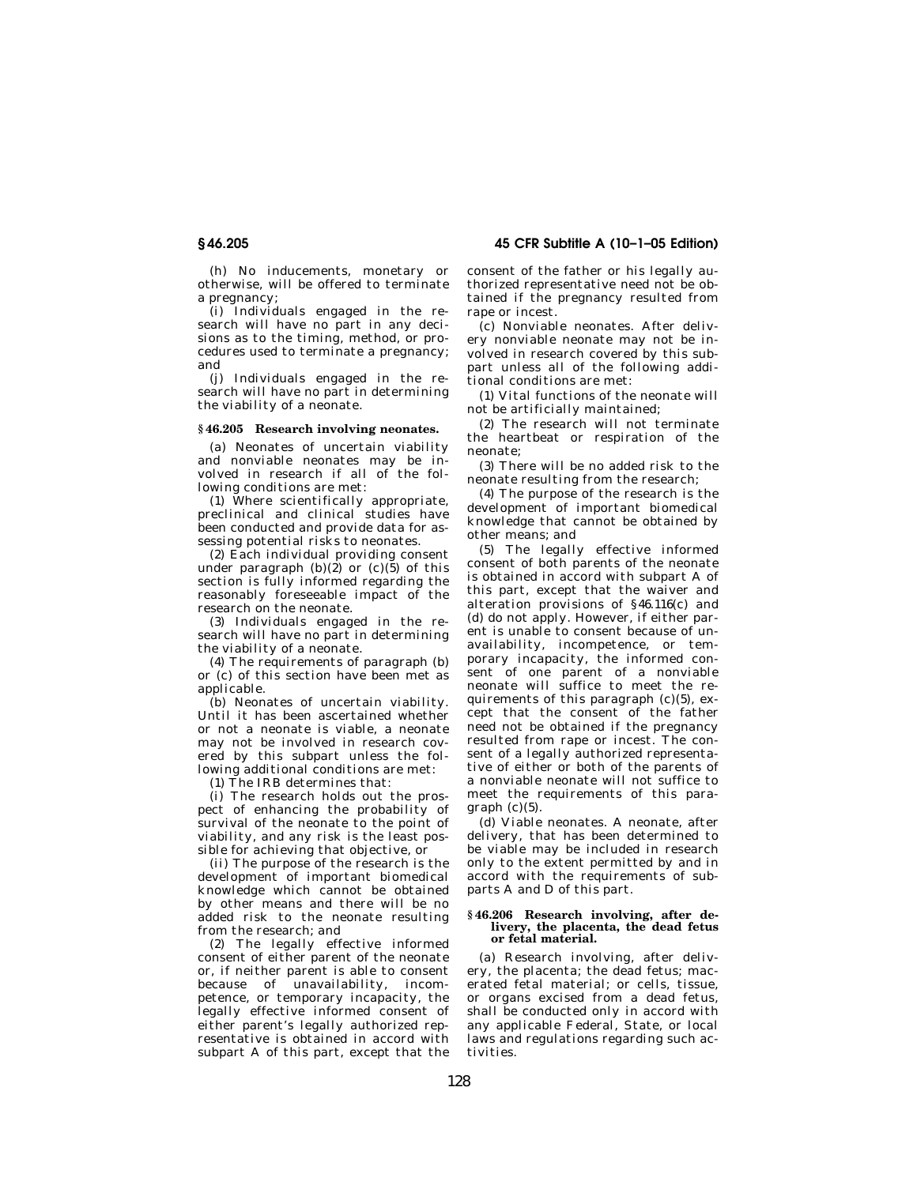**§ 46.205 45 CFR Subtitle A (10–1–05 Edition)** 

(h) No inducements, monetary or otherwise, will be offered to terminate a pregnancy;

(i) Individuals engaged in the research will have no part in any decisions as to the timing, method, or procedures used to terminate a pregnancy; and

(j) Individuals engaged in the research will have no part in determining the viability of a neonate.

#### **§ 46.205 Research involving neonates.**

(a) Neonates of uncertain viability and nonviable neonates may be involved in research if all of the following conditions are met:

(1) Where scientifically appropriate, preclinical and clinical studies have been conducted and provide data for assessing potential risks to neonates.

(2) Each individual providing consent under paragraph  $(b)(2)$  or  $(c)(5)$  of this section is fully informed regarding the reasonably foreseeable impact of the research on the neonate.

(3) Individuals engaged in the research will have no part in determining the viability of a neonate.

(4) The requirements of paragraph (b) or (c) of this section have been met as applicable.

(b) Neonates of uncertain viability. Until it has been ascertained whether or not a neonate is viable, a neonate may not be involved in research covered by this subpart unless the following additional conditions are met:

(1) The IRB determines that:

(i) The research holds out the prospect of enhancing the probability of survival of the neonate to the point of viability, and any risk is the least possible for achieving that objective, or

(ii) The purpose of the research is the development of important biomedical knowledge which cannot be obtained by other means and there will be no added risk to the neonate resulting from the research; and

(2) The legally effective informed consent of either parent of the neonate or, if neither parent is able to consent because of unavailability, incompetence, or temporary incapacity, the legally effective informed consent of either parent's legally authorized representative is obtained in accord with subpart A of this part, except that the consent of the father or his legally authorized representative need not be obtained if the pregnancy resulted from rape or incest.

(c) Nonviable neonates. After delivery nonviable neonate may not be involved in research covered by this subpart unless all of the following additional conditions are met:

(1) Vital functions of the neonate will not be artificially maintained;

(2) The research will not terminate the heartbeat or respiration of the neonate;

(3) There will be no added risk to the neonate resulting from the research;

(4) The purpose of the research is the development of important biomedical knowledge that cannot be obtained by other means; and

(5) The legally effective informed consent of both parents of the neonate is obtained in accord with subpart A of this part, except that the waiver and alteration provisions of §46.116(c) and (d) do not apply. However, if either parent is unable to consent because of unavailability, incompetence, or temporary incapacity, the informed consent of one parent of a nonviable neonate will suffice to meet the requirements of this paragraph  $(c)(5)$ , except that the consent of the father need not be obtained if the pregnancy resulted from rape or incest. The consent of a legally authorized representative of either or both of the parents of a nonviable neonate will not suffice to meet the requirements of this para $graph (c)(5)$ .

(d) Viable neonates. A neonate, after delivery, that has been determined to be viable may be included in research only to the extent permitted by and in accord with the requirements of subparts A and D of this part.

#### **§ 46.206 Research involving, after delivery, the placenta, the dead fetus or fetal material.**

(a) Research involving, after delivery, the placenta; the dead fetus; macerated fetal material; or cells, tissue, or organs excised from a dead fetus, shall be conducted only in accord with any applicable Federal, State, or local laws and regulations regarding such activities.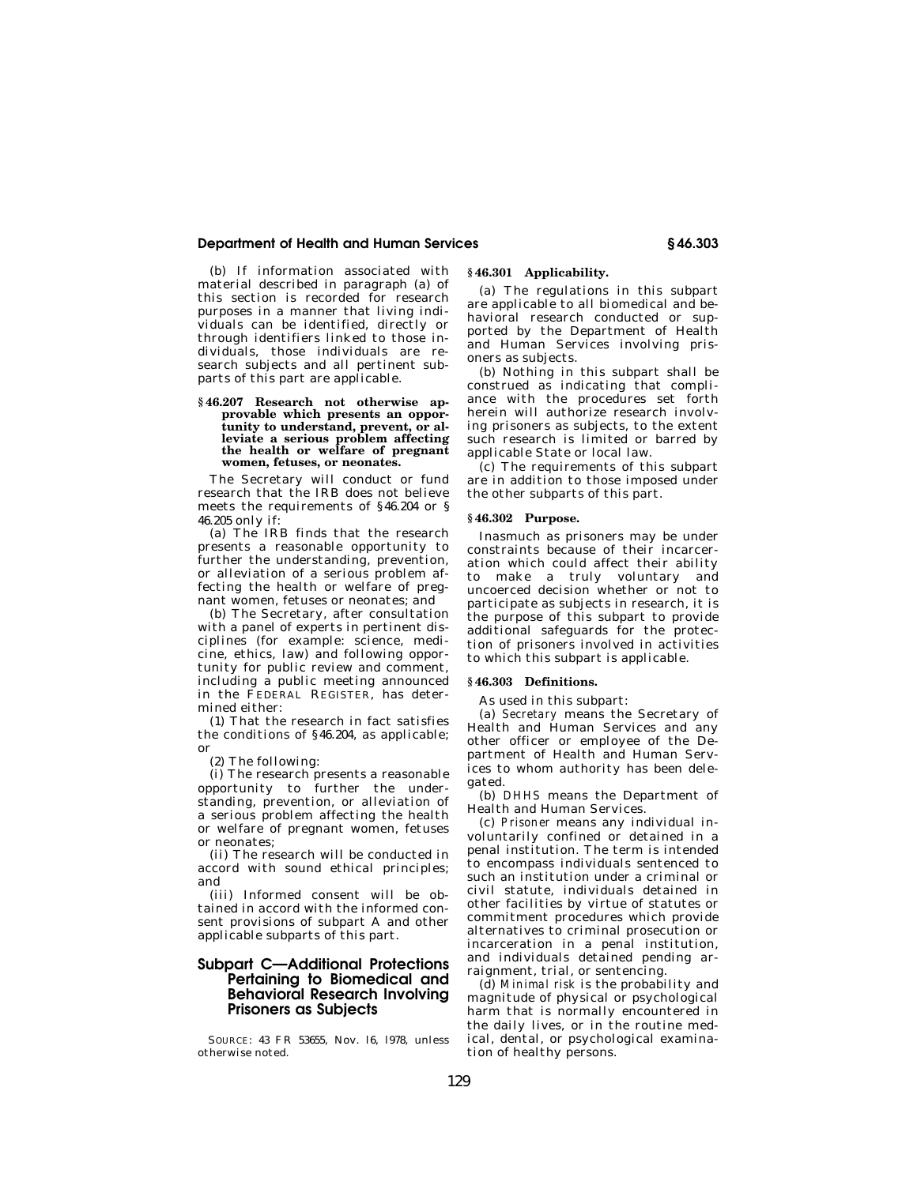(b) If information associated with material described in paragraph (a) of this section is recorded for research purposes in a manner that living individuals can be identified, directly or through identifiers linked to those individuals, those individuals are research subjects and all pertinent subparts of this part are applicable.

#### **§ 46.207 Research not otherwise approvable which presents an opportunity to understand, prevent, or alleviate a serious problem affecting the health or welfare of pregnant women, fetuses, or neonates.**

The Secretary will conduct or fund research that the IRB does not believe meets the requirements of §46.204 or § 46.205 only if:

(a) The IRB finds that the research presents a reasonable opportunity to further the understanding, prevention, or alleviation of a serious problem affecting the health or welfare of pregnant women, fetuses or neonates; and

(b) The Secretary, after consultation with a panel of experts in pertinent disciplines (for example: science, medicine, ethics, law) and following opportunity for public review and comment, including a public meeting announced in the FEDERAL REGISTER, has determined either:

(1) That the research in fact satisfies the conditions of §46.204, as applicable; or

(2) The following:

(i) The research presents a reasonable opportunity to further the understanding, prevention, or alleviation of a serious problem affecting the health or welfare of pregnant women, fetuses or neonates;

(ii) The research will be conducted in accord with sound ethical principles; and

(iii) Informed consent will be obtained in accord with the informed consent provisions of subpart A and other applicable subparts of this part.

# **Subpart C—Additional Protections Pertaining to Biomedical and Behavioral Research Involving Prisoners as Subjects**

SOURCE: 43 FR 53655, Nov. l6, l978, unless otherwise noted.

# **§ 46.301 Applicability.**

(a) The regulations in this subpart are applicable to all biomedical and behavioral research conducted or supported by the Department of Health and Human Services involving prisoners as subjects.

(b) Nothing in this subpart shall be construed as indicating that compliance with the procedures set forth herein will authorize research involving prisoners as subjects, to the extent such research is limited or barred by applicable State or local law.

(c) The requirements of this subpart are in addition to those imposed under the other subparts of this part.

### **§ 46.302 Purpose.**

Inasmuch as prisoners may be under constraints because of their incarceration which could affect their ability to make a truly voluntary and uncoerced decision whether or not to participate as subjects in research, it is the purpose of this subpart to provide additional safeguards for the protection of prisoners involved in activities to which this subpart is applicable.

# **§ 46.303 Definitions.**

As used in this subpart:

(a) *Secretary* means the Secretary of Health and Human Services and any other officer or employee of the Department of Health and Human Services to whom authority has been delegated.

(b) *DHHS* means the Department of Health and Human Services.

(c) *Prisoner* means any individual involuntarily confined or detained in a penal institution. The term is intended to encompass individuals sentenced to such an institution under a criminal or civil statute, individuals detained in other facilities by virtue of statutes or commitment procedures which provide alternatives to criminal prosecution or incarceration in a penal institution, and individuals detained pending arraignment, trial, or sentencing.

(d) *Minimal risk* is the probability and magnitude of physical or psychological harm that is normally encountered in the daily lives, or in the routine medical, dental, or psychological examination of healthy persons.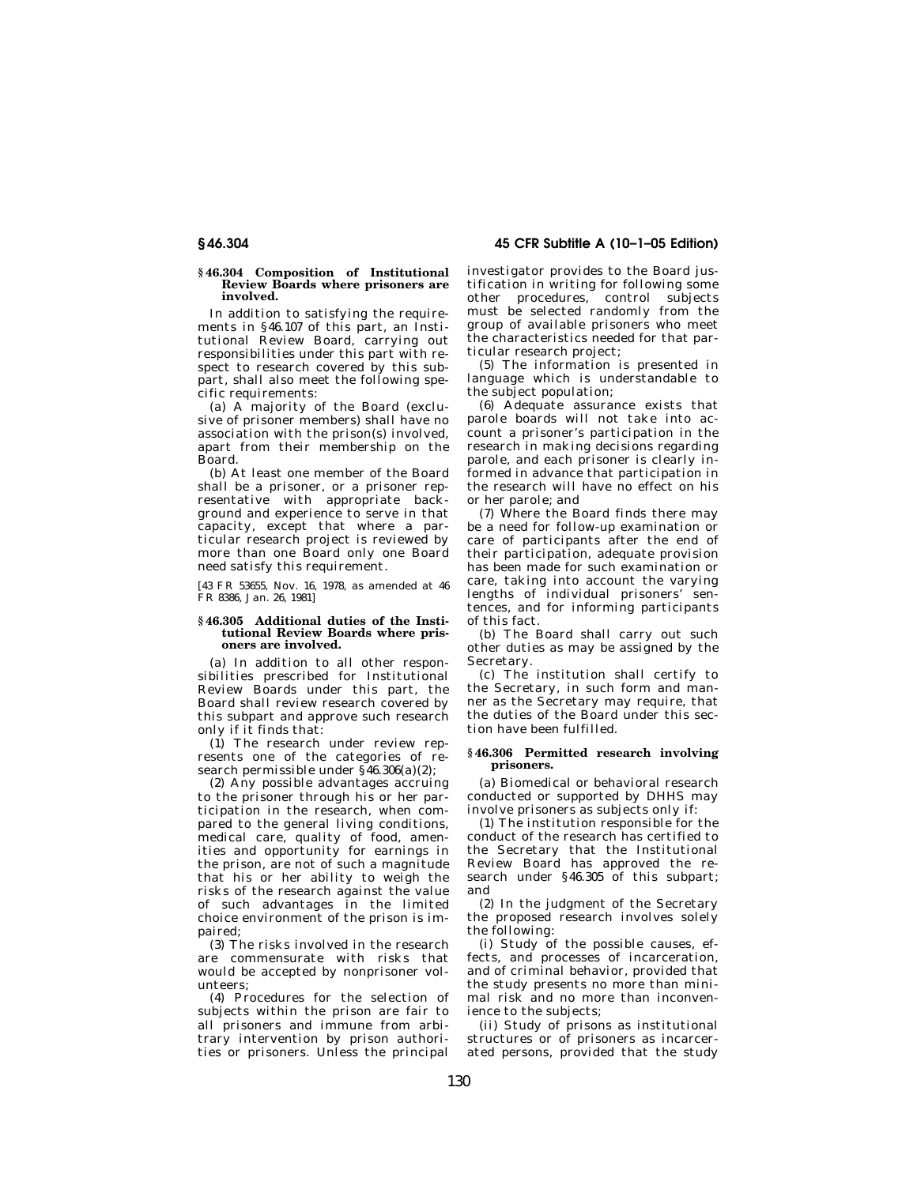## **§ 46.304 Composition of Institutional Review Boards where prisoners are involved.**

In addition to satisfying the requirements in §46.107 of this part, an Institutional Review Board, carrying out responsibilities under this part with respect to research covered by this subpart, shall also meet the following specific requirements:

(a) A majority of the Board (exclusive of prisoner members) shall have no association with the prison(s) involved, apart from their membership on the Board.

(b) At least one member of the Board shall be a prisoner, or a prisoner representative with appropriate background and experience to serve in that capacity, except that where a particular research project is reviewed by more than one Board only one Board need satisfy this requirement.

[43 FR 53655, Nov. 16, 1978, as amended at 46 FR 8386, Jan. 26, 1981]

### **§ 46.305 Additional duties of the Institutional Review Boards where prisoners are involved.**

(a) In addition to all other responsibilities prescribed for Institutional Review Boards under this part, the Board shall review research covered by this subpart and approve such research only if it finds that:

(1) The research under review represents one of the categories of research permissible under  $\frac{8}{46}$ .306(a)(2);

(2) Any possible advantages accruing to the prisoner through his or her participation in the research, when compared to the general living conditions, medical care, quality of food, amenities and opportunity for earnings in the prison, are not of such a magnitude that his or her ability to weigh the risks of the research against the value of such advantages in the limited choice environment of the prison is impaired;

(3) The risks involved in the research are commensurate with risks that would be accepted by nonprisoner volunteers;

(4) Procedures for the selection of subjects within the prison are fair to all prisoners and immune from arbitrary intervention by prison authorities or prisoners. Unless the principal

investigator provides to the Board justification in writing for following some other procedures, control subjects must be selected randomly from the group of available prisoners who meet the characteristics needed for that particular research project;

(5) The information is presented in language which is understandable to the subject population;

(6) Adequate assurance exists that parole boards will not take into account a prisoner's participation in the research in making decisions regarding parole, and each prisoner is clearly informed in advance that participation in the research will have no effect on his or her parole; and

(7) Where the Board finds there may be a need for follow-up examination or care of participants after the end of their participation, adequate provision has been made for such examination or care, taking into account the varying lengths of individual prisoners' sentences, and for informing participants of this fact.

(b) The Board shall carry out such other duties as may be assigned by the Secretary.

(c) The institution shall certify to the Secretary, in such form and manner as the Secretary may require, that the duties of the Board under this section have been fulfilled.

### **§ 46.306 Permitted research involving prisoners.**

(a) Biomedical or behavioral research conducted or supported by DHHS may involve prisoners as subjects only if:

(1) The institution responsible for the conduct of the research has certified to the Secretary that the Institutional Review Board has approved the research under §46.305 of this subpart; and

(2) In the judgment of the Secretary the proposed research involves solely the following:

(i) Study of the possible causes, effects, and processes of incarceration, and of criminal behavior, provided that the study presents no more than minimal risk and no more than inconvenience to the subjects;

(ii) Study of prisons as institutional structures or of prisoners as incarcerated persons, provided that the study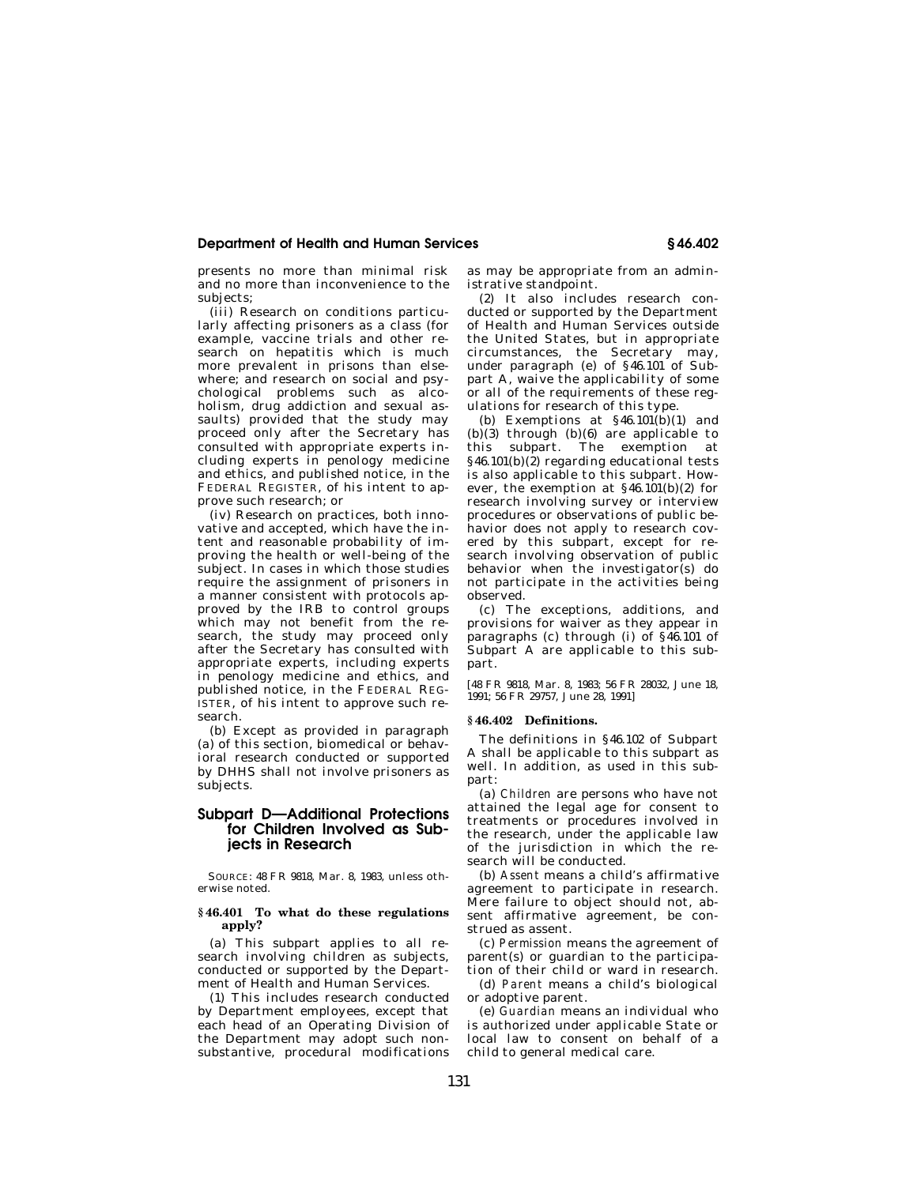presents no more than minimal risk .<br>and no more than inconvenience to the subjects;

(iii) Research on conditions particularly affecting prisoners as a class (for example, vaccine trials and other research on hepatitis which is much more prevalent in prisons than elsewhere; and research on social and psychological problems such as alcoholism, drug addiction and sexual assaults) provided that the study may proceed only after the Secretary has consulted with appropriate experts including experts in penology medicine and ethics, and published notice, in the FEDERAL REGISTER, of his intent to approve such research; or

(iv) Research on practices, both innovative and accepted, which have the intent and reasonable probability of improving the health or well-being of the subject. In cases in which those studies require the assignment of prisoners in a manner consistent with protocols approved by the IRB to control groups which may not benefit from the research, the study may proceed only after the Secretary has consulted with appropriate experts, including experts in penology medicine and ethics, and published notice, in the FEDERAL REG-ISTER, of his intent to approve such research.

(b) Except as provided in paragraph (a) of this section, biomedical or behavioral research conducted or supported by DHHS shall not involve prisoners as subjects.

# **Subpart D—Additional Protections for Children Involved as Subjects in Research**

SOURCE: 48 FR 9818, Mar. 8, 1983, unless otherwise noted.

## **§ 46.401 To what do these regulations apply?**

(a) This subpart applies to all research involving children as subjects, conducted or supported by the Department of Health and Human Services.

(1) This includes research conducted by Department employees, except that each head of an Operating Division of the Department may adopt such nonsubstantive, procedural modifications as may be appropriate from an administrative standpoint.

(2) It also includes research conducted or supported by the Department of Health and Human Services outside the United States, but in appropriate circumstances, the Secretary may, under paragraph (e) of §46.101 of Subpart A, waive the applicability of some or all of the requirements of these regulations for research of this type.

(b) Exemptions at  $§46.101(b)(1)$  and  $(b)(3)$  through  $(b)(6)$  are applicable to this subpart. The exemption at §46.101(b)(2) regarding educational tests is also applicable to this subpart. However, the exemption at  $\S 46.101(b)(2)$  for research involving survey or interview procedures or observations of public behavior does not apply to research covered by this subpart, except for research involving observation of public behavior when the investigator(s) do not participate in the activities being observed.

(c) The exceptions, additions, and provisions for waiver as they appear in paragraphs (c) through (i) of §46.101 of Subpart A are applicable to this subpart.

[48 FR 9818, Mar. 8, 1983; 56 FR 28032, June 18, 1991; 56 FR 29757, June 28, 1991]

#### **§ 46.402 Definitions.**

The definitions in §46.102 of Subpart A shall be applicable to this subpart as well. In addition, as used in this subpart:

(a) *Children* are persons who have not attained the legal age for consent to treatments or procedures involved in the research, under the applicable law of the jurisdiction in which the research will be conducted.

(b) *Assent* means a child's affirmative agreement to participate in research. Mere failure to object should not, absent affirmative agreement, be construed as assent.

(c) *Permission* means the agreement of parent(s) or guardian to the participation of their child or ward in research.

(d) *Parent* means a child's biological or adoptive parent.

(e) *Guardian* means an individual who is authorized under applicable State or local law to consent on behalf of a child to general medical care.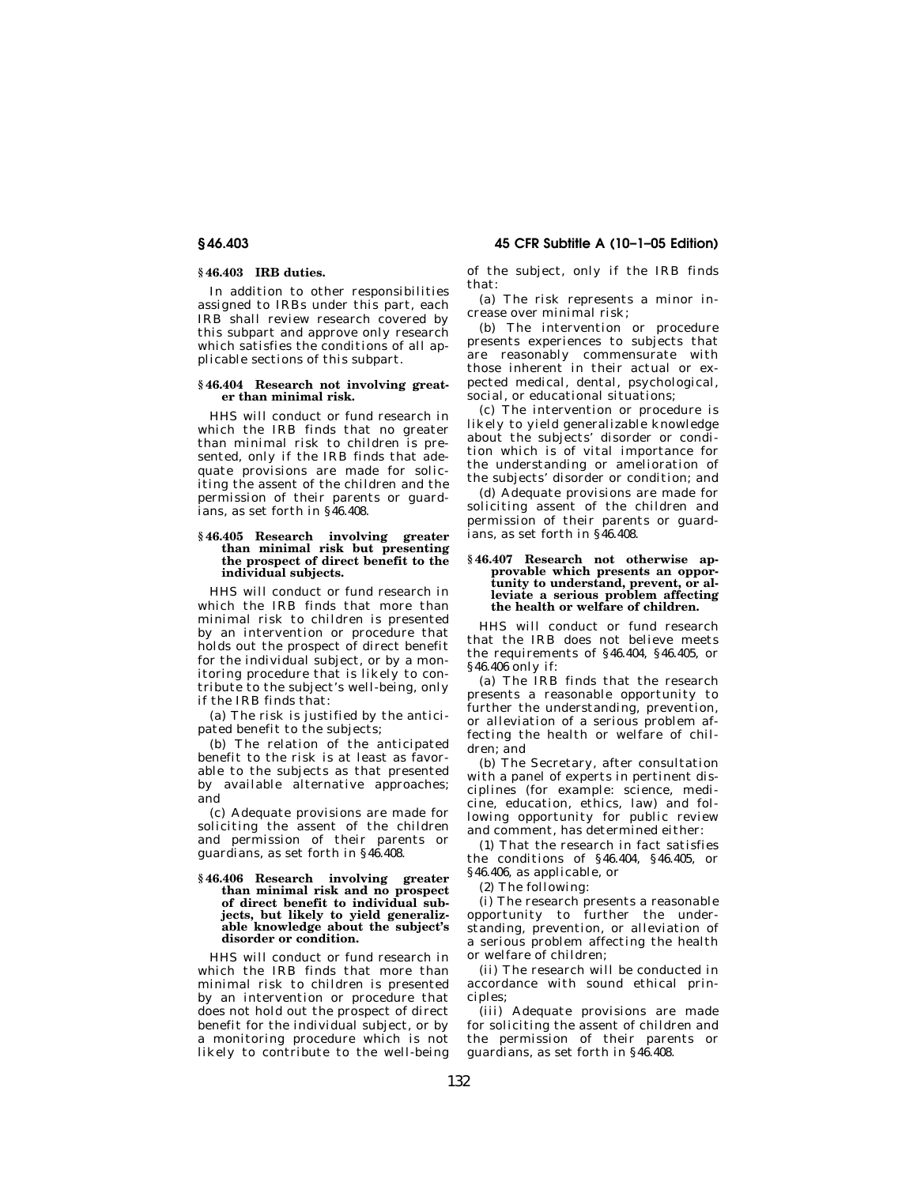# **§ 46.403 IRB duties.**

In addition to other responsibilities assigned to IRBs under this part, each IRB shall review research covered by this subpart and approve only research which satisfies the conditions of all applicable sections of this subpart.

#### **§ 46.404 Research not involving greater than minimal risk.**

HHS will conduct or fund research in which the IRB finds that no greater than minimal risk to children is presented, only if the IRB finds that adequate provisions are made for soliciting the assent of the children and the permission of their parents or guardians, as set forth in §46.408.

#### **§ 46.405 Research involving greater than minimal risk but presenting the prospect of direct benefit to the individual subjects.**

HHS will conduct or fund research in which the IRB finds that more than minimal risk to children is presented by an intervention or procedure that holds out the prospect of direct benefit for the individual subject, or by a monitoring procedure that is likely to contribute to the subject's well-being, only if the IRB finds that:

(a) The risk is justified by the anticipated benefit to the subjects;

(b) The relation of the anticipated benefit to the risk is at least as favorable to the subjects as that presented by available alternative approaches; and

(c) Adequate provisions are made for soliciting the assent of the children and permission of their parents or guardians, as set forth in §46.408.

#### **§ 46.406 Research involving greater than minimal risk and no prospect of direct benefit to individual subjects, but likely to yield generalizable knowledge about the subject's disorder or condition.**

HHS will conduct or fund research in which the IRB finds that more than minimal risk to children is presented by an intervention or procedure that does not hold out the prospect of direct benefit for the individual subject, or by a monitoring procedure which is not likely to contribute to the well-being

of the subject, only if the IRB finds that:

(a) The risk represents a minor increase over minimal risk;

(b) The intervention or procedure presents experiences to subjects that are reasonably commensurate with those inherent in their actual or expected medical, dental, psychological, social, or educational situations;

(c) The intervention or procedure is likely to yield generalizable knowledge about the subjects' disorder or condition which is of vital importance for the understanding or amelioration of the subjects' disorder or condition; and

(d) Adequate provisions are made for soliciting assent of the children and permission of their parents or guardians, as set forth in  $\S$  46.408.

#### **§ 46.407 Research not otherwise approvable which presents an opportunity to understand, prevent, or alleviate a serious problem affecting the health or welfare of children.**

HHS will conduct or fund research that the IRB does not believe meets the requirements of §46.404, §46.405, or §46.406 only if:

(a) The IRB finds that the research presents a reasonable opportunity to further the understanding, prevention, or alleviation of a serious problem affecting the health or welfare of children; and

(b) The Secretary, after consultation with a panel of experts in pertinent disciplines (for example: science, medicine, education, ethics, law) and following opportunity for public review and comment, has determined either:

(1) That the research in fact satisfies the conditions of §46.404, §46.405, or §46.406, as applicable, or

(2) The following:

(i) The research presents a reasonable opportunity to further the understanding, prevention, or alleviation of a serious problem affecting the health or welfare of children;

(ii) The research will be conducted in accordance with sound ethical principles;

(iii) Adequate provisions are made for soliciting the assent of children and the permission of their parents or guardians, as set forth in §46.408.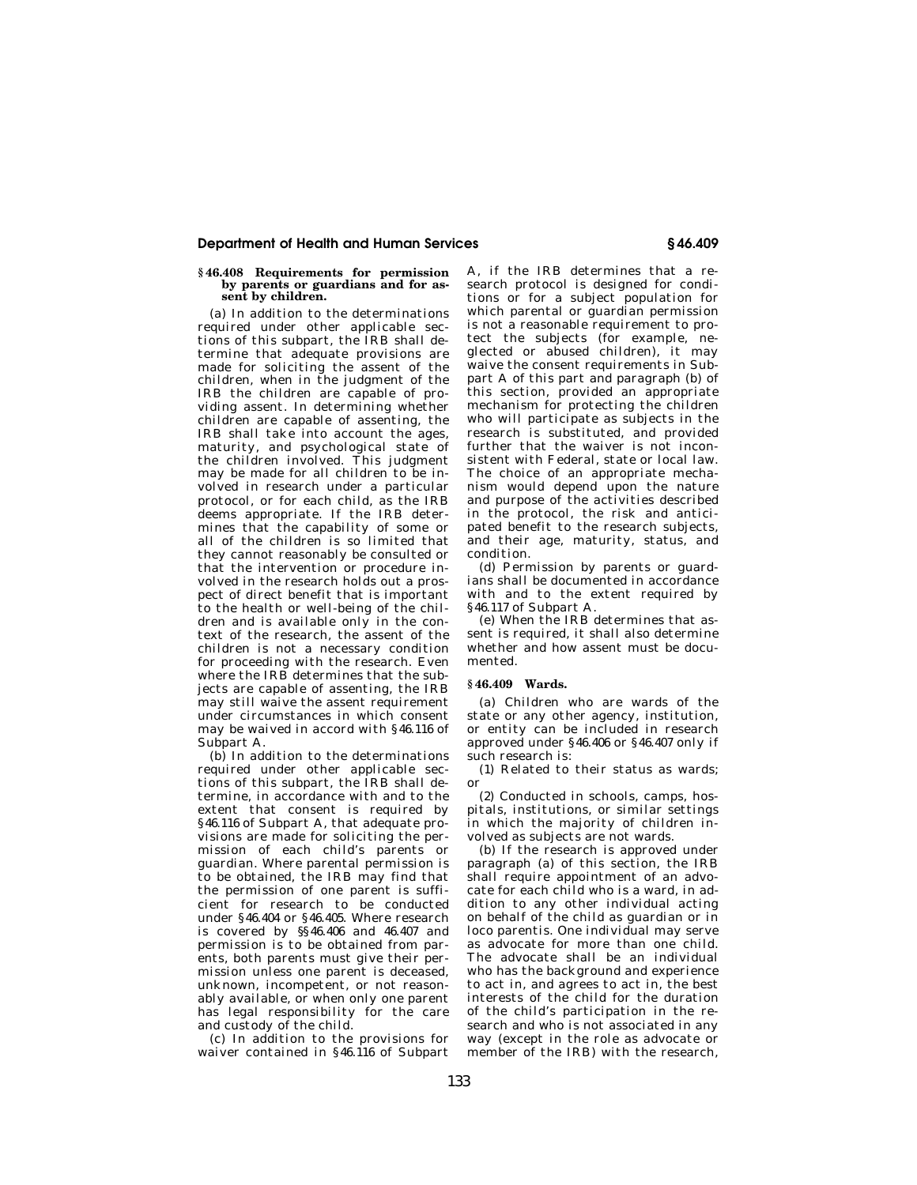### **§ 46.408 Requirements for permission by parents or guardians and for assent by children.**

(a) In addition to the determinations required under other applicable sections of this subpart, the IRB shall determine that adequate provisions are made for soliciting the assent of the children, when in the judgment of the IRB the children are capable of providing assent. In determining whether children are capable of assenting, the IRB shall take into account the ages, maturity, and psychological state of the children involved. This judgment may be made for all children to be involved in research under a particular protocol, or for each child, as the IRB deems appropriate. If the IRB determines that the capability of some or all of the children is so limited that they cannot reasonably be consulted or that the intervention or procedure involved in the research holds out a prospect of direct benefit that is important to the health or well-being of the children and is available only in the context of the research, the assent of the children is not a necessary condition for proceeding with the research. Even where the IRB determines that the subjects are capable of assenting, the IRB may still waive the assent requirement under circumstances in which consent may be waived in accord with §46.116 of Subpart A.

(b) In addition to the determinations required under other applicable sections of this subpart, the IRB shall determine, in accordance with and to the extent that consent is required by §46.116 of Subpart A, that adequate provisions are made for soliciting the permission of each child's parents or guardian. Where parental permission is to be obtained, the IRB may find that the permission of one parent is sufficient for research to be conducted under §46.404 or §46.405. Where research is covered by §§46.406 and 46.407 and permission is to be obtained from parents, both parents must give their permission unless one parent is deceased, unknown, incompetent, or not reasonably available, or when only one parent has legal responsibility for the care and custody of the child.

(c) In addition to the provisions for waiver contained in §46.116 of Subpart A, if the IRB determines that a research protocol is designed for conditions or for a subject population for which parental or guardian permission is not a reasonable requirement to protect the subjects (for example, neglected or abused children), it may waive the consent requirements in Subpart A of this part and paragraph (b) of this section, provided an appropriate mechanism for protecting the children who will participate as subjects in the research is substituted, and provided further that the waiver is not inconsistent with Federal, state or local law. The choice of an appropriate mechanism would depend upon the nature and purpose of the activities described in the protocol, the risk and anticipated benefit to the research subjects, and their age, maturity, status, and condition.

(d) Permission by parents or guardians shall be documented in accordance with and to the extent required by §46.117 of Subpart A.

(e) When the IRB determines that assent is required, it shall also determine whether and how assent must be documented.

# **§ 46.409 Wards.**

(a) Children who are wards of the state or any other agency, institution, or entity can be included in research approved under §46.406 or §46.407 only if such research is:

(1) Related to their status as wards; or

(2) Conducted in schools, camps, hospitals, institutions, or similar settings in which the majority of children involved as subjects are not wards.

(b) If the research is approved under paragraph (a) of this section, the IRB shall require appointment of an advocate for each child who is a ward, in addition to any other individual acting on behalf of the child as guardian or in loco parentis. One individual may serve as advocate for more than one child. The advocate shall be an individual who has the background and experience to act in, and agrees to act in, the best interests of the child for the duration of the child's participation in the research and who is not associated in any way (except in the role as advocate or member of the IRB) with the research,